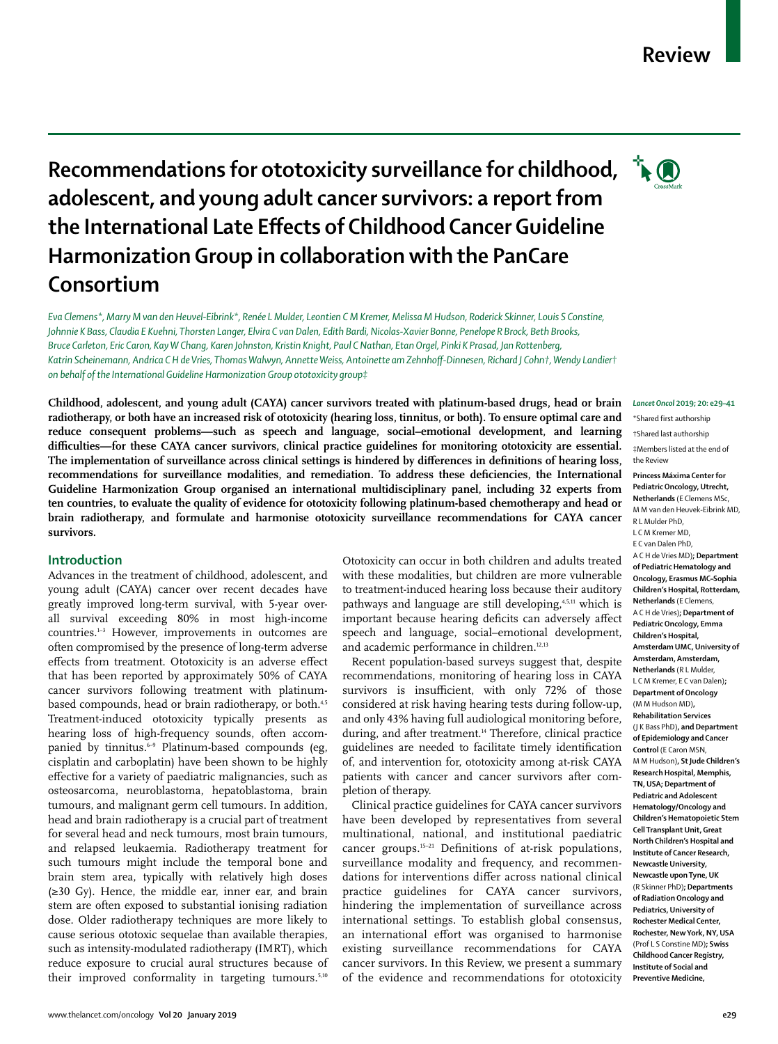www.thelancet.com/oncology **Vol 20 January 2019 e29**

# **Recommendations for ototoxicity surveillance for childhood,**  $\overrightarrow{A}$ **adolescent, and young adult cancer survivors: a report from the International Late Effects of Childhood Cancer Guideline Harmonization Group in collaboration with the PanCare Consortium**

*Eva Clemens\*, Marry M van den Heuvel-Eibrink\*, Renée L Mulder, Leontien C M Kremer, Melissa M Hudson, Roderick Skinner, Louis S Constine, Johnnie K Bass, Claudia E Kuehni, Thorsten Langer, Elvira C van Dalen, Edith Bardi, Nicolas-Xavier Bonne, Penelope R Brock, Beth Brooks, Bruce Carleton, Eric Caron, Kay W Chang, Karen Johnston, Kristin Knight, Paul C Nathan, Etan Orgel, Pinki K Prasad, Jan Rottenberg, Katrin Scheinemann, Andrica C H de Vries, Thomas Walwyn, Annette Weiss, Antoinette am Zehnhoff-Dinnesen, Richard J Cohn†, Wendy Landier† on behalf of the International Guideline Harmonization Group ototoxicity group‡*

**Childhood, adolescent, and young adult (CAYA) cancer survivors treated with platinum-based drugs, head or brain radiotherapy, or both have an increased risk of ototoxicity (hearing loss, tinnitus, or both). To ensure optimal care and reduce consequent problems—such as speech and language, social–emotional development, and learning difficulties—for these CAYA cancer survivors, clinical practice guidelines for monitoring ototoxicity are essential. The implementation of surveillance across clinical settings is hindered by differences in definitions of hearing loss, recommendations for surveillance modalities, and remediation. To address these deficiencies, the International Guideline Harmonization Group organised an international multidisciplinary panel, including 32 experts from ten countries, to evaluate the quality of evidence for ototoxicity following platinum-based chemotherapy and head or brain radiotherapy, and formulate and harmonise ototoxicity surveillance recommendations for CAYA cancer survivors.**

# **Introduction**

Advances in the treatment of childhood, adolescent, and young adult (CAYA) cancer over recent decades have greatly improved long-term survival, with 5-year overall survival exceeding 80% in most high-income countries.1–3 However, improvements in outcomes are often compromised by the presence of long-term adverse effects from treatment. Ototoxicity is an adverse effect that has been reported by approximately 50% of CAYA cancer survivors following treatment with platinumbased compounds, head or brain radiotherapy, or both.<sup>4,5</sup> Treatment-induced ototoxicity typically presents as hearing loss of high-frequency sounds, often accompanied by tinnitus.<sup>6-9</sup> Platinum-based compounds (eg, cisplatin and carboplatin) have been shown to be highly effective for a variety of paediatric malignancies, such as osteosarcoma, neuroblastoma, hepatoblastoma, brain tumours, and malignant germ cell tumours. In addition, head and brain radiotherapy is a crucial part of treatment for several head and neck tumours, most brain tumours, and relapsed leukaemia. Radiotherapy treatment for such tumours might include the temporal bone and brain stem area, typically with relatively high doses (≥30 Gy). Hence, the middle ear, inner ear, and brain stem are often exposed to substantial ionising radiation dose. Older radiotherapy techniques are more likely to cause serious ototoxic sequelae than available therapies, such as intensity-modulated radiotherapy (IMRT), which reduce exposure to crucial aural structures because of their improved conformality in targeting tumours.<sup>5,10</sup>

Ototoxicity can occur in both children and adults treated with these modalities, but children are more vulnerable to treatment-induced hearing loss because their auditory pathways and language are still developing,<sup>4,5,11</sup> which is important because hearing deficits can adversely affect speech and language, social–emotional development, and academic performance in children.<sup>12,13</sup>

Recent population-based surveys suggest that, despite recommendations, monitoring of hearing loss in CAYA survivors is insufficient, with only 72% of those considered at risk having hearing tests during follow-up, and only 43% having full audiological monitoring before, during, and after treatment.<sup>14</sup> Therefore, clinical practice guidelines are needed to facilitate timely identification of, and intervention for, ototoxicity among at-risk CAYA patients with cancer and cancer survivors after completion of therapy.

Clinical practice guidelines for CAYA cancer survivors have been developed by representatives from several multinational, national, and institutional paediatric cancer groups.15–21 Definitions of at-risk populations, surveillance modality and frequency, and recommendations for interventions differ across national clinical practice guidelines for CAYA cancer survivors, hindering the implementation of surveillance across international settings. To establish global consensus, an international effort was organised to harmonise existing surveillance recommendations for CAYA cancer survivors. In this Review, we present a summary of the evidence and recommendations for ototoxicity

# *Lancet Oncol* **2019; 20: e29–41**

\*Shared first authorship †Shared last authorship

‡Members listed at the end of the Review

### **Princess Máxima Center for Pediatric Oncology, Utrecht, Netherlands** (E Clemens MSc, M M van den Heuvek-Eibrink MD, R L Mulder PhD,

L C M Kremer MD, E C van Dalen PhD, A C H de Vries MD)**; Department of Pediatric Hematology and Oncology, Erasmus MC–Sophia Children's Hospital, Rotterdam, Netherlands** (E Clemens, A C H de Vries)**; Department of Pediatric Oncology, Emma Children's Hospital, Amsterdam UMC, University of Amsterdam, Amsterdam, Netherlands** (R L Mulder, L C M Kremer, E C van Dalen)**; Department of Oncology** (M M Hudson MD)**, Rehabilitation Services** (J K Bass PhD)**, and Department of Epidemiology and Cancer Control** (E Caron MSN, M M Hudson)**, St Jude Children's Research Hospital, Memphis, TN, USA; Department of Pediatric and Adolescent Hematology/Oncology and Children's Hematopoietic Stem Cell Transplant Unit, Great North Children's Hospital and Institute of Cancer Research, Newcastle University, Newcastle upon Tyne, UK** (R Skinner PhD)**; Departments of Radiation Oncology and Pediatrics, University of Rochester Medical Center, Rochester, New York, NY, USA** (Prof L S Constine MD)**; Swiss Childhood Cancer Registry, Institute of Social and Preventive Medicine,**

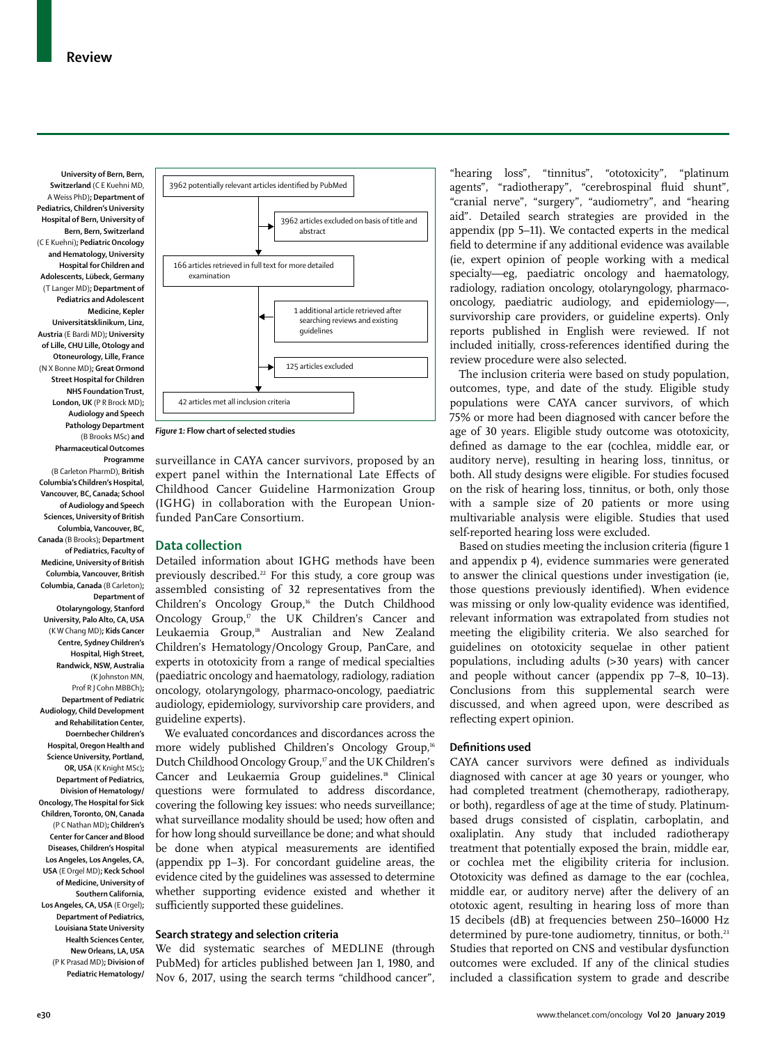**University of Bern, Bern, Switzerland** (C E Kuehni MD, A Weiss PhD)**; Department of Pediatrics, Children's University Hospital of Bern, University of Bern, Bern, Switzerland** (C E Kuehni)**; Pediatric Oncology and Hematology, University Hospital for Children and Adolescents, Lübeck, Germany** (T Langer MD)**; Department of Pediatrics and Adolescent Medicine, Kepler Universitätsklinikum, Linz, Austria** (E Bardi MD)**; University of Lille, CHU Lille, Otology and Otoneurology, Lille, France** (N X Bonne MD)**; Great Ormond Street Hospital for Children NHS Foundation Trust, London, UK** (P R Brock MD)**; Audiology and Speech Pathology Department**  (B Brooks MSc) **and Pharmaceutical Outcomes Programme**  (B Carleton PharmD), **British Columbia's Children's Hospital,** 

**Vancouver, BC, Canada; School of Audiology and Speech Sciences, University of British Columbia, Vancouver, BC, Canada** (B Brooks)**; Department of Pediatrics, Faculty of Medicine, University of British Columbia, Vancouver, British Columbia, Canada** (B Carleton)**; Department of Otolaryngology, Stanford University, Palo Alto, CA, USA** (K W Chang MD)**; Kids Cancer Centre, Sydney Children's Hospital, High Street, Randwick, NSW, Australia** (K Johnston MN, Prof R J Cohn MBBCh)**; Department of Pediatric Audiology, Child Development and Rehabilitation Center, Doernbecher Children's Hospital, Oregon Health and Science University, Portland, OR, USA** (K Knight MSc)**; Department of Pediatrics, Division of Hematology/ Oncology, The Hospital for Sick Children, Toronto, ON, Canada** (P C Nathan MD)**; Children's Center for Cancer and Blood Diseases, Children's Hospital Los Angeles, Los Angeles, CA,** 

**USA** (E Orgel MD)**; Keck School of Medicine, University of Southern California, Los Angeles, CA, USA** (E Orgel)**; Department of Pediatrics, Louisiana State University Health Sciences Center, New Orleans, LA, USA** (P K Prasad MD)**; Division of Pediatric Hematology/**



*Figure 1:* **Flow chart of selected studies**

surveillance in CAYA cancer survivors, proposed by an expert panel within the International Late Effects of Childhood Cancer Guideline Harmonization Group (IGHG) in collaboration with the European Unionfunded [PanCare Consortium.](http://www.pancare.eu/en/)

### **Data collection**

Detailed information about IGHG methods have been previously described.<sup>22</sup> For this study, a core group was assembled consisting of 32 representatives from the Children's Oncology Group,16 the Dutch Childhood Oncology Group,<sup>17</sup> the UK Children's Cancer and Leukaemia Group,<sup>18</sup> Australian and [New Zealand](http://www.anzchog.org/) [Children's Hematology/Oncology Group](http://www.anzchog.org/), PanCare, and experts in ototoxicity from a range of medical specialties (paediatric oncology and haematology, radiology, radiation oncology, otolaryngology, pharmaco-oncology, paediatric audiology, epidemiology, survivorship care providers, and guideline experts).

We evaluated concordances and discordances across the more widely published Children's Oncology Group,<sup>16</sup> Dutch Childhood Oncology Group,<sup>17</sup> and the UK Children's Cancer and Leukaemia Group guidelines.<sup>18</sup> Clinical questions were formulated to address discordance, covering the following key issues: who needs surveillance; what surveillance modality should be used; how often and for how long should surveillance be done; and what should be done when atypical measurements are identified (appendix pp 1–3). For concordant guideline areas, the evidence cited by the guidelines was assessed to determine whether supporting evidence existed and whether it sufficiently supported these guidelines.

### **Search strategy and selection criteria**

We did systematic searches of MEDLINE (through PubMed) for articles published between Jan 1, 1980, and Nov 6, 2017, using the search terms "childhood cancer",

"hearing loss", "tinnitus", "ototoxicity", "platinum agents", "radiotherapy", "cerebrospinal fluid shunt", "cranial nerve", "surgery", "audiometry", and "hearing aid". Detailed search strategies are provided in the appendix (pp 5–11). We contacted experts in the medical field to determine if any additional evidence was available (ie, expert opinion of people working with a medical specialty—eg, paediatric oncology and haematology, radiology, radiation oncology, otolaryngology, pharmacooncology, paediatric audiology, and epidemiology—, survivorship care providers, or guideline experts). Only reports published in English were reviewed. If not included initially, cross-references identified during the review procedure were also selected.

The inclusion criteria were based on study population, outcomes, type, and date of the study. Eligible study populations were CAYA cancer survivors, of which 75% or more had been diagnosed with cancer before the age of 30 years. Eligible study outcome was ototoxicity, defined as damage to the ear (cochlea, middle ear, or auditory nerve), resulting in hearing loss, tinnitus, or both. All study designs were eligible. For studies focused on the risk of hearing loss, tinnitus, or both, only those with a sample size of 20 patients or more using multivariable analysis were eligible. Studies that used self-reported hearing loss were excluded.

Based on studies meeting the inclusion criteria (figure 1 and appendix p 4), evidence summaries were generated to answer the clinical questions under investigation (ie, those questions previously identified). When evidence was missing or only low-quality evidence was identified, relevant information was extrapolated from studies not meeting the eligibility criteria. We also searched for guidelines on ototoxicity sequelae in other patient populations, including adults (>30 years) with cancer and people without cancer (appendix pp 7–8, 10–13). Conclusions from this supplemental search were discussed, and when agreed upon, were described as reflecting expert opinion.

### **Definitions used**

CAYA cancer survivors were defined as individuals diagnosed with cancer at age 30 years or younger, who had completed treatment (chemotherapy, radiotherapy, or both), regardless of age at the time of study. Platinumbased drugs consisted of cisplatin, carboplatin, and oxaliplatin. Any study that included radiotherapy treatment that potentially exposed the brain, middle ear, or cochlea met the eligibility criteria for inclusion. Ototoxicity was defined as damage to the ear (cochlea, middle ear, or auditory nerve) after the delivery of an ototoxic agent, resulting in hearing loss of more than 15 decibels (dB) at frequencies between 250–16000 Hz determined by pure-tone audiometry, tinnitus, or both.<sup>23</sup> Studies that reported on CNS and vestibular dysfunction outcomes were excluded. If any of the clinical studies included a classification system to grade and describe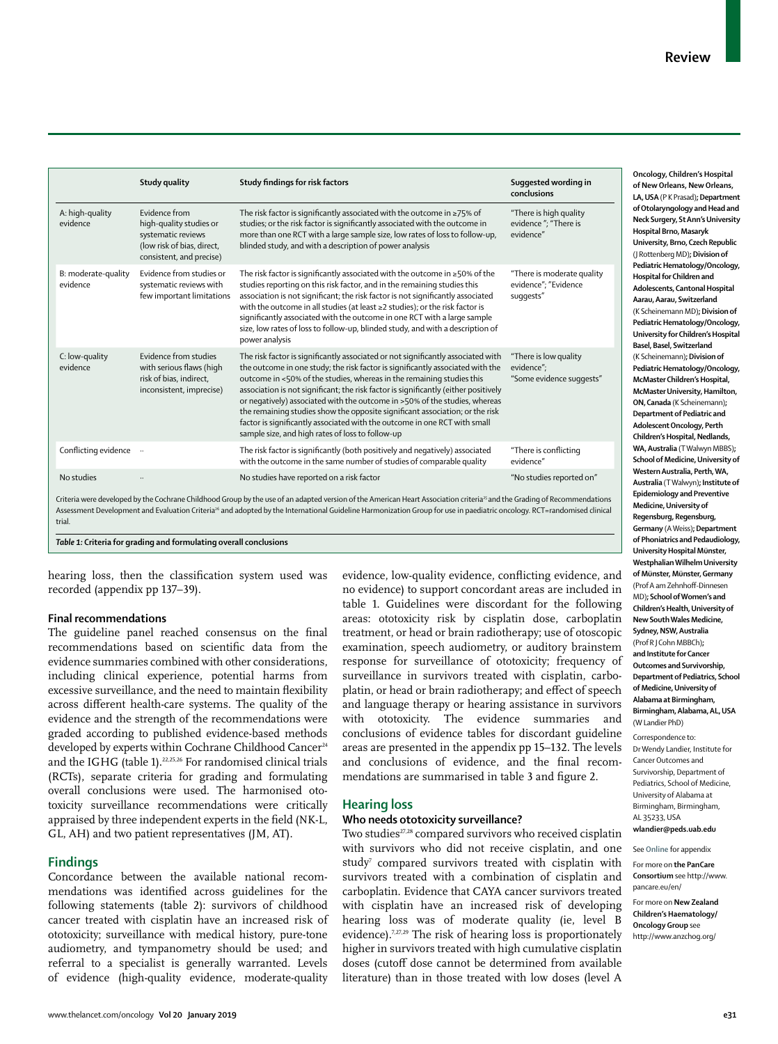|                                 | Study quality                                                                                                            | Study findings for risk factors                                                                                                                                                                                                                                                                                                                                                                                                                                                                                                                                                                                                   | Suggested wording in<br>conclusions                             |
|---------------------------------|--------------------------------------------------------------------------------------------------------------------------|-----------------------------------------------------------------------------------------------------------------------------------------------------------------------------------------------------------------------------------------------------------------------------------------------------------------------------------------------------------------------------------------------------------------------------------------------------------------------------------------------------------------------------------------------------------------------------------------------------------------------------------|-----------------------------------------------------------------|
| A: high-quality<br>evidence     | Evidence from<br>high-quality studies or<br>systematic reviews<br>(low risk of bias, direct,<br>consistent, and precise) | The risk factor is significantly associated with the outcome in ≥75% of<br>studies; or the risk factor is significantly associated with the outcome in<br>more than one RCT with a large sample size, low rates of loss to follow-up,<br>blinded study, and with a description of power analysis                                                                                                                                                                                                                                                                                                                                  | "There is high quality<br>evidence": "There is<br>evidence"     |
| B: moderate-quality<br>evidence | Evidence from studies or<br>systematic reviews with<br>few important limitations                                         | The risk factor is significantly associated with the outcome in ≥50% of the<br>studies reporting on this risk factor, and in the remaining studies this<br>association is not significant; the risk factor is not significantly associated<br>with the outcome in all studies (at least ≥2 studies); or the risk factor is<br>significantly associated with the outcome in one RCT with a large sample<br>size, low rates of loss to follow-up, blinded study, and with a description of<br>power analysis                                                                                                                        | "There is moderate quality<br>evidence"; "Evidence<br>suggests" |
| C: low-quality<br>evidence      | Evidence from studies<br>with serious flaws (high<br>risk of bias, indirect,<br>inconsistent, imprecise)                 | The risk factor is significantly associated or not significantly associated with<br>the outcome in one study; the risk factor is significantly associated with the<br>outcome in <50% of the studies, whereas in the remaining studies this<br>association is not significant; the risk factor is significantly (either positively<br>or negatively) associated with the outcome in >50% of the studies, whereas<br>the remaining studies show the opposite significant association; or the risk<br>factor is significantly associated with the outcome in one RCT with small<br>sample size, and high rates of loss to follow-up | "There is low quality<br>evidence":<br>"Some evidence suggests" |
| Conflicting evidence            |                                                                                                                          | The risk factor is significantly (both positively and negatively) associated<br>with the outcome in the same number of studies of comparable quality                                                                                                                                                                                                                                                                                                                                                                                                                                                                              | "There is conflicting<br>evidence"                              |
| No studies                      |                                                                                                                          | No studies have reported on a risk factor                                                                                                                                                                                                                                                                                                                                                                                                                                                                                                                                                                                         | "No studies reported on"                                        |

Criteria were developed by the Cochrane Childhood Group by the use of an adapted version of the American Heart Association criteria<sup>25</sup> and the Grading of Recommendations Assessment Development and Evaluation Criteria<sup>26</sup> and adopted by the International Guideline Harmonization Group for use in paediatric oncology. RCT=randomised clinical trial.

*Table 1:* **Criteria for grading and formulating overall conclusions**

hearing loss, then the classification system used was recorded (appendix pp 137–39).

### **Final recommendations**

The guideline panel reached consensus on the final recommendations based on scientific data from the evidence summaries combined with other considerations, including clinical experience, potential harms from excessive surveillance, and the need to maintain flexibility across different health-care systems. The quality of the evidence and the strength of the recommendations were graded according to published evidence-based methods developed by experts within Cochrane Childhood Cancer<sup>24</sup> and the IGHG (table 1).<sup>22,25,26</sup> For randomised clinical trials (RCTs), separate criteria for grading and formulating overall conclusions were used. The harmonised ototoxicity surveillance recommendations were critically appraised by three independent experts in the field (NK-L, GL, AH) and two patient representatives (JM, AT).

# **Findings**

Concordance between the available national recommendations was identified across guidelines for the following statements (table 2): survivors of childhood cancer treated with cisplatin have an increased risk of ototoxicity; surveillance with medical history, pure-tone audiometry, and tympanometry should be used; and referral to a specialist is generally warranted. Levels of evidence (high-quality evidence, moderate-quality evidence, low-quality evidence, conflicting evidence, and no evidence) to support concordant areas are included in table 1. Guidelines were discordant for the following areas: ototoxicity risk by cisplatin dose, carboplatin treatment, or head or brain radiotherapy; use of otoscopic examination, speech audiometry, or auditory brainstem response for surveillance of ototoxicity; frequency of surveillance in survivors treated with cisplatin, carboplatin, or head or brain radiotherapy; and effect of speech and language therapy or hearing assistance in survivors with ototoxicity. The evidence summaries and conclusions of evidence tables for discordant guideline areas are presented in the appendix pp 15–132. The levels and conclusions of evidence, and the final recommendations are summarised in table 3 and figure 2.

### **Hearing loss**

### **Who needs ototoxicity surveillance?**

Two studies<sup>27,28</sup> compared survivors who received cisplatin with survivors who did not receive cisplatin, and one study<sup>7</sup> compared survivors treated with cisplatin with survivors treated with a combination of cisplatin and carboplatin. Evidence that CAYA cancer survivors treated with cisplatin have an increased risk of developing hearing loss was of moderate quality (ie, level B evidence).<sup>7,27,29</sup> The risk of hearing loss is proportionately higher in survivors treated with high cumulative cisplatin doses (cutoff dose cannot be determined from available literature) than in those treated with low doses (level A

**Oncology, Children's Hospital of New Orleans, New Orleans, LA, USA** (P K Prasad)**; Department of Otolaryngology and Head and Neck Surgery, St Ann's University Hospital Brno, Masaryk University, Brno, Czech Republic** (J Rottenberg MD)**;Division of Pediatric Hematology/Oncology, Hospital for Children and Adolescents, Cantonal Hospital Aarau, Aarau, Switzerland** (K Scheinemann MD)**; Division of Pediatric Hematology/Oncology, University for Children's Hospital Basel, Basel, Switzerland** (K Scheinemann)**; Division of Pediatric Hematology/Oncology, McMaster Children's Hospital, McMaster University, Hamilton, ON, Canada** (K Scheinemann)**; Department of Pediatric and Adolescent Oncology, Perth Children's Hospital, Nedlands, WA, Australia** (T Walwyn MBBS)**; School of Medicine, University of Western Australia, Perth, WA, Australia** (T Walwyn)**; Institute of Epidemiology and Preventive Medicine, University of Regensburg, Regensburg, Germany** (A Weiss)**; Department of Phoniatrics and Pedaudiology, University Hospital Münster, Westphalian Wilhelm University of Münster, Münster, Germany** (Prof A am Zehnhoff-Dinnesen MD)**; School of Women's and Children's Health, University of New South Wales Medicine, Sydney, NSW, Australia** (Prof R J Cohn MBBCh)**; and Institute for Cancer Outcomes and Survivorship, Department of Pediatrics, School of Medicine, University of Alabama at Birmingham, Birmingham, Alabama, AL, USA** (W Landier PhD)

Correspondence to: Dr Wendy Landier, Institute for Cancer Outcomes and Survivorship, Department of Pediatrics, School of Medicine, University of Alabama at Birmingham, Birmingham, AL 35233, USA **wlandier@peds.uab.edu**

See **Online** for appendix

For more on **the PanCare Consortium** see http://www. pancare.eu/en/

For more on **New Zealand Children's Haematology/ Oncology Group** see http://www.anzchog.org/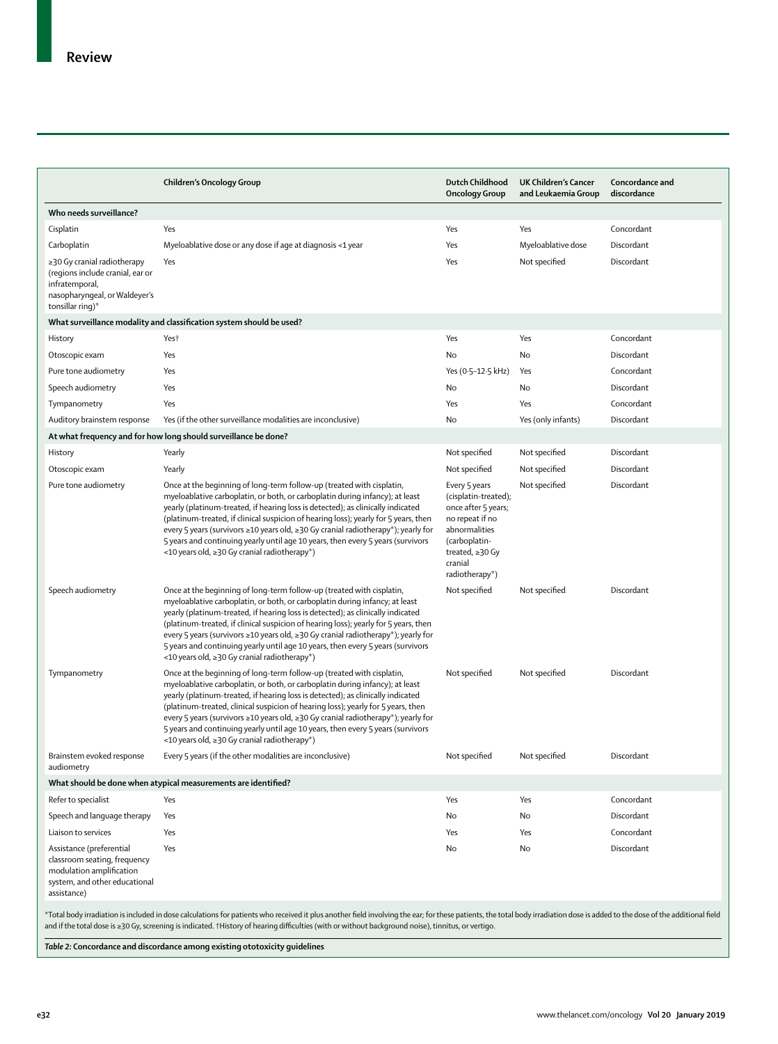|                                                                                                                                        | Children's Oncology Group                                                                                                                                                                                                                                                                                                                                                                                                                                                                                                                               | Dutch Childhood<br><b>Oncology Group</b>                                                                                                                                | UK Children's Cancer<br>and Leukaemia Group | Concordance and<br>discordance |  |
|----------------------------------------------------------------------------------------------------------------------------------------|---------------------------------------------------------------------------------------------------------------------------------------------------------------------------------------------------------------------------------------------------------------------------------------------------------------------------------------------------------------------------------------------------------------------------------------------------------------------------------------------------------------------------------------------------------|-------------------------------------------------------------------------------------------------------------------------------------------------------------------------|---------------------------------------------|--------------------------------|--|
|                                                                                                                                        |                                                                                                                                                                                                                                                                                                                                                                                                                                                                                                                                                         |                                                                                                                                                                         |                                             |                                |  |
| Who needs surveillance?                                                                                                                |                                                                                                                                                                                                                                                                                                                                                                                                                                                                                                                                                         |                                                                                                                                                                         |                                             |                                |  |
| Cisplatin                                                                                                                              | Yes                                                                                                                                                                                                                                                                                                                                                                                                                                                                                                                                                     | Yes                                                                                                                                                                     | Yes                                         | Concordant                     |  |
| Carboplatin                                                                                                                            | Myeloablative dose or any dose if age at diagnosis <1 year                                                                                                                                                                                                                                                                                                                                                                                                                                                                                              | Yes                                                                                                                                                                     | Myeloablative dose                          | Discordant                     |  |
| ≥30 Gy cranial radiotherapy<br>(regions include cranial, ear or<br>infratemporal,<br>nasopharyngeal, or Waldeyer's<br>tonsillar ring)* | Yes                                                                                                                                                                                                                                                                                                                                                                                                                                                                                                                                                     | Yes                                                                                                                                                                     | Not specified                               | Discordant                     |  |
|                                                                                                                                        | What surveillance modality and classification system should be used?                                                                                                                                                                                                                                                                                                                                                                                                                                                                                    |                                                                                                                                                                         |                                             |                                |  |
| History                                                                                                                                | Yes†                                                                                                                                                                                                                                                                                                                                                                                                                                                                                                                                                    | Yes                                                                                                                                                                     | Yes                                         | Concordant                     |  |
| Otoscopic exam                                                                                                                         | Yes                                                                                                                                                                                                                                                                                                                                                                                                                                                                                                                                                     | No                                                                                                                                                                      | No                                          | Discordant                     |  |
| Pure tone audiometry                                                                                                                   | Yes                                                                                                                                                                                                                                                                                                                                                                                                                                                                                                                                                     | Yes (0.5-12.5 kHz)                                                                                                                                                      | Yes                                         | Concordant                     |  |
| Speech audiometry                                                                                                                      | Yes                                                                                                                                                                                                                                                                                                                                                                                                                                                                                                                                                     | No                                                                                                                                                                      | No                                          | Discordant                     |  |
| Tympanometry                                                                                                                           | Yes                                                                                                                                                                                                                                                                                                                                                                                                                                                                                                                                                     | Yes                                                                                                                                                                     | Yes                                         | Concordant                     |  |
| Auditory brainstem response                                                                                                            | Yes (if the other surveillance modalities are inconclusive)                                                                                                                                                                                                                                                                                                                                                                                                                                                                                             | No                                                                                                                                                                      | Yes (only infants)                          | Discordant                     |  |
| At what frequency and for how long should surveillance be done?                                                                        |                                                                                                                                                                                                                                                                                                                                                                                                                                                                                                                                                         |                                                                                                                                                                         |                                             |                                |  |
| History                                                                                                                                | Yearly                                                                                                                                                                                                                                                                                                                                                                                                                                                                                                                                                  | Not specified                                                                                                                                                           | Not specified                               | Discordant                     |  |
| Otoscopic exam                                                                                                                         | Yearly                                                                                                                                                                                                                                                                                                                                                                                                                                                                                                                                                  | Not specified                                                                                                                                                           | Not specified                               | Discordant                     |  |
| Pure tone audiometry                                                                                                                   | Once at the beginning of long-term follow-up (treated with cisplatin,<br>myeloablative carboplatin, or both, or carboplatin during infancy); at least<br>yearly (platinum-treated, if hearing loss is detected); as clinically indicated<br>(platinum-treated, if clinical suspicion of hearing loss); yearly for 5 years, then<br>every 5 years (survivors ≥10 years old, ≥30 Gy cranial radiotherapy*); yearly for<br>5 years and continuing yearly until age 10 years, then every 5 years (survivors<br><10 years old, ≥30 Gy cranial radiotherapy*) | Every 5 years<br>(cisplatin-treated);<br>once after 5 years;<br>no repeat if no<br>abnormalities<br>(carboplatin-<br>treated, $\geq$ 30 Gy<br>cranial<br>radiotherapy*) | Not specified                               | Discordant                     |  |
| Speech audiometry                                                                                                                      | Once at the beginning of long-term follow-up (treated with cisplatin,<br>myeloablative carboplatin, or both, or carboplatin during infancy; at least<br>yearly (platinum-treated, if hearing loss is detected); as clinically indicated<br>(platinum-treated, if clinical suspicion of hearing loss); yearly for 5 years, then<br>every 5 years (survivors ≥10 years old, ≥30 Gy cranial radiotherapy*); yearly for<br>5 years and continuing yearly until age 10 years, then every 5 years (survivors<br><10 years old, ≥30 Gy cranial radiotherapy*)  | Not specified                                                                                                                                                           | Not specified                               | Discordant                     |  |
| Tympanometry                                                                                                                           | Once at the beginning of long-term follow-up (treated with cisplatin,<br>myeloablative carboplatin, or both, or carboplatin during infancy); at least<br>yearly (platinum-treated, if hearing loss is detected); as clinically indicated<br>(platinum-treated, clinical suspicion of hearing loss); yearly for 5 years, then<br>every 5 years (survivors ≥10 years old, ≥30 Gy cranial radiotherapy*); yearly for<br>5 years and continuing yearly until age 10 years, then every 5 years (survivors<br><10 years old, ≥30 Gy cranial radiotherapy*)    | Not specified                                                                                                                                                           | Not specified                               | Discordant                     |  |
| Brainstem evoked response<br>audiometry                                                                                                | Every 5 years (if the other modalities are inconclusive)                                                                                                                                                                                                                                                                                                                                                                                                                                                                                                | Not specified                                                                                                                                                           | Not specified                               | Discordant                     |  |
|                                                                                                                                        | What should be done when atypical measurements are identified?                                                                                                                                                                                                                                                                                                                                                                                                                                                                                          |                                                                                                                                                                         |                                             |                                |  |
| Refer to specialist                                                                                                                    | Yes                                                                                                                                                                                                                                                                                                                                                                                                                                                                                                                                                     | Yes                                                                                                                                                                     | Yes                                         | Concordant                     |  |
| Speech and language therapy                                                                                                            | Yes                                                                                                                                                                                                                                                                                                                                                                                                                                                                                                                                                     | No                                                                                                                                                                      | No                                          | Discordant                     |  |
| Liaison to services                                                                                                                    | Yes                                                                                                                                                                                                                                                                                                                                                                                                                                                                                                                                                     | Yes                                                                                                                                                                     | Yes                                         | Concordant                     |  |
| Assistance (preferential<br>classroom seating, frequency<br>modulation amplification<br>system, and other educational<br>assistance)   | Yes                                                                                                                                                                                                                                                                                                                                                                                                                                                                                                                                                     | No                                                                                                                                                                      | No                                          | Discordant                     |  |

*Table 2:* **Concordance and discordance among existing ototoxicity guidelines**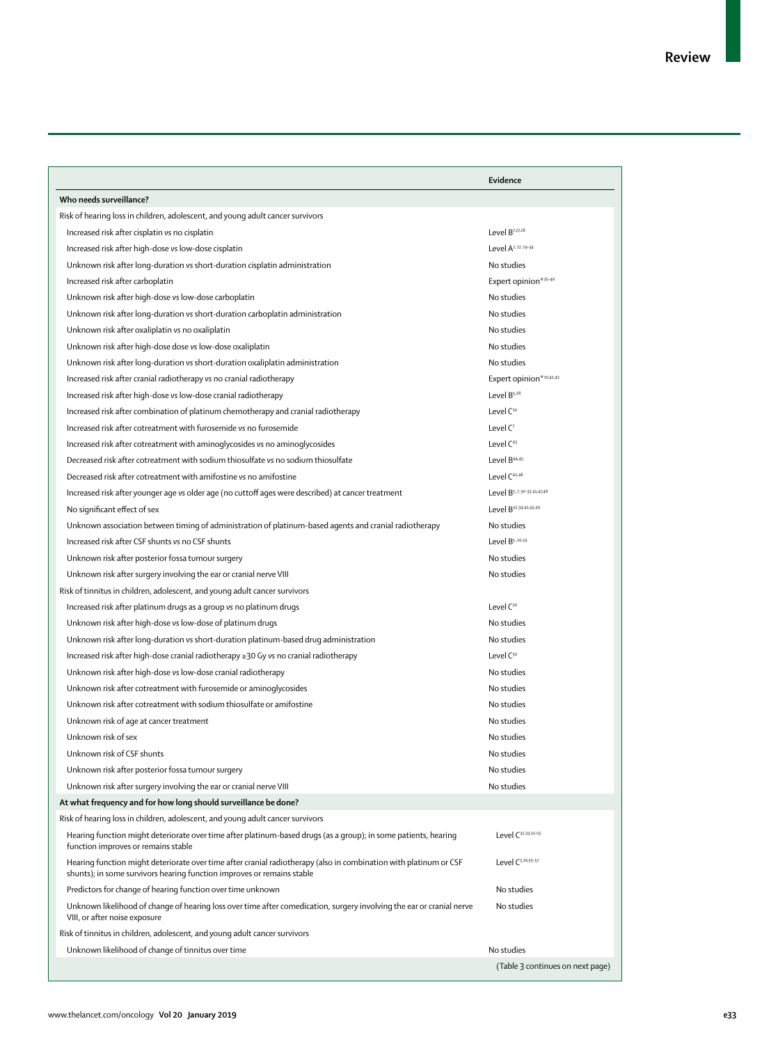|                                                                                                                                                                                             | Evidence                                |  |  |  |  |  |
|---------------------------------------------------------------------------------------------------------------------------------------------------------------------------------------------|-----------------------------------------|--|--|--|--|--|
| Who needs surveillance?                                                                                                                                                                     |                                         |  |  |  |  |  |
| Risk of hearing loss in children, adolescent, and young adult cancer survivors                                                                                                              |                                         |  |  |  |  |  |
| Increased risk after cisplatin vs no cisplatin                                                                                                                                              | Level $B^{7,27,28}$                     |  |  |  |  |  |
| Increased risk after high-dose vs low-dose cisplatin                                                                                                                                        | Level A <sup>7, 27, 29-34</sup>         |  |  |  |  |  |
| Unknown risk after long-duration vs short-duration cisplatin administration                                                                                                                 | No studies                              |  |  |  |  |  |
| Increased risk after carboplatin                                                                                                                                                            | Expert opinion*35-40                    |  |  |  |  |  |
| Unknown risk after high-dose vs low-dose carboplatin                                                                                                                                        | No studies                              |  |  |  |  |  |
| Unknown risk after long-duration vs short-duration carboplatin administration                                                                                                               | No studies                              |  |  |  |  |  |
| Unknown risk after oxaliplatin vs no oxaliplatin                                                                                                                                            | No studies                              |  |  |  |  |  |
| Unknown risk after high-dose dose vs low-dose oxaliplatin                                                                                                                                   | No studies                              |  |  |  |  |  |
| Unknown risk after long-duration vs short-duration oxaliplatin administration                                                                                                               | No studies                              |  |  |  |  |  |
| Increased risk after cranial radiotherapy vs no cranial radiotherapy                                                                                                                        | Expert opinion*10,41,42                 |  |  |  |  |  |
| Increased risk after high-dose vs low-dose cranial radiotherapy                                                                                                                             | Level B <sup>5,28</sup>                 |  |  |  |  |  |
| Increased risk after combination of platinum chemotherapy and cranial radiotherapy                                                                                                          | Level $C^{10}$                          |  |  |  |  |  |
| Increased risk after cotreatment with furosemide vs no furosemide                                                                                                                           | Level C <sup>7</sup>                    |  |  |  |  |  |
| Increased risk after cotreatment with aminoglycosides vs no aminoglycosides                                                                                                                 | Level C <sup>43</sup>                   |  |  |  |  |  |
| Decreased risk after cotreatment with sodium thiosulfate vs no sodium thiosulfate                                                                                                           | Level B <sup>44,45</sup>                |  |  |  |  |  |
| Decreased risk after cotreatment with amifostine vs no amifostine                                                                                                                           | Level C <sup>42,46</sup>                |  |  |  |  |  |
| Increased risk after younger age vs older age (no cuttoff ages were described) at cancer treatment                                                                                          | Level B <sup>5, 7, 30-33,41,47,48</sup> |  |  |  |  |  |
| No significant effect of sex                                                                                                                                                                | Level B <sup>32,34,41,43,49</sup>       |  |  |  |  |  |
| Unknown association between timing of administration of platinum-based agents and cranial radiotherapy                                                                                      | No studies                              |  |  |  |  |  |
| Increased risk after CSF shunts vs no CSF shunts                                                                                                                                            | Level B <sup>5,10,34</sup>              |  |  |  |  |  |
| Unknown risk after posterior fossa tumour surgery                                                                                                                                           | No studies                              |  |  |  |  |  |
| Unknown risk after surgery involving the ear or cranial nerve VIII                                                                                                                          | No studies                              |  |  |  |  |  |
| Risk of tinnitus in children, adolescent, and young adult cancer survivors                                                                                                                  |                                         |  |  |  |  |  |
| Increased risk after platinum drugs as a group vs no platinum drugs                                                                                                                         | Level C <sup>50</sup>                   |  |  |  |  |  |
| Unknown risk after high-dose vs low-dose of platinum drugs                                                                                                                                  | No studies                              |  |  |  |  |  |
| Unknown risk after long-duration vs short-duration platinum-based drug administration                                                                                                       | No studies                              |  |  |  |  |  |
| Increased risk after high-dose cranial radiotherapy ≥30 Gy vs no cranial radiotherapy                                                                                                       | Level C <sup>50</sup>                   |  |  |  |  |  |
| Unknown risk after high-dose vs low-dose cranial radiotherapy                                                                                                                               | No studies                              |  |  |  |  |  |
| Unknown risk after cotreatment with furosemide or aminoglycosides                                                                                                                           | No studies                              |  |  |  |  |  |
| Unknown risk after cotreatment with sodium thiosulfate or amifostine                                                                                                                        | No studies                              |  |  |  |  |  |
| Unknown risk of age at cancer treatment                                                                                                                                                     | No studies                              |  |  |  |  |  |
| Unknown risk of sex                                                                                                                                                                         | No studies                              |  |  |  |  |  |
| Unknown risk of CSF shunts                                                                                                                                                                  | No studies                              |  |  |  |  |  |
| Unknown risk after posterior fossa tumour surgery                                                                                                                                           | No studies                              |  |  |  |  |  |
| Unknown risk after surgery involving the ear or cranial nerve VIII                                                                                                                          | No studies                              |  |  |  |  |  |
| At what frequency and for how long should surveillance be done?                                                                                                                             |                                         |  |  |  |  |  |
| Risk of hearing loss in children, adolescent, and young adult cancer survivors                                                                                                              |                                         |  |  |  |  |  |
| Hearing function might deteriorate over time after platinum-based drugs (as a group); in some patients, hearing<br>function improves or remains stable                                      | Level C <sup>32,33,51-55</sup>          |  |  |  |  |  |
| Hearing function might deteriorate over time after cranial radiotherapy (also in combination with platinum or CSF<br>shunts); in some survivors hearing function improves or remains stable | Level C <sup>5,10,55-57</sup>           |  |  |  |  |  |
| Predictors for change of hearing function over time unknown                                                                                                                                 | No studies                              |  |  |  |  |  |
| Unknown likelihood of change of hearing loss over time after comedication, surgery involving the ear or cranial nerve<br>VIII, or after noise exposure                                      | No studies                              |  |  |  |  |  |
| Risk of tinnitus in children, adolescent, and young adult cancer survivors                                                                                                                  |                                         |  |  |  |  |  |
| Unknown likelihood of change of tinnitus over time                                                                                                                                          | No studies                              |  |  |  |  |  |
|                                                                                                                                                                                             | (Table 3 continues on next page)        |  |  |  |  |  |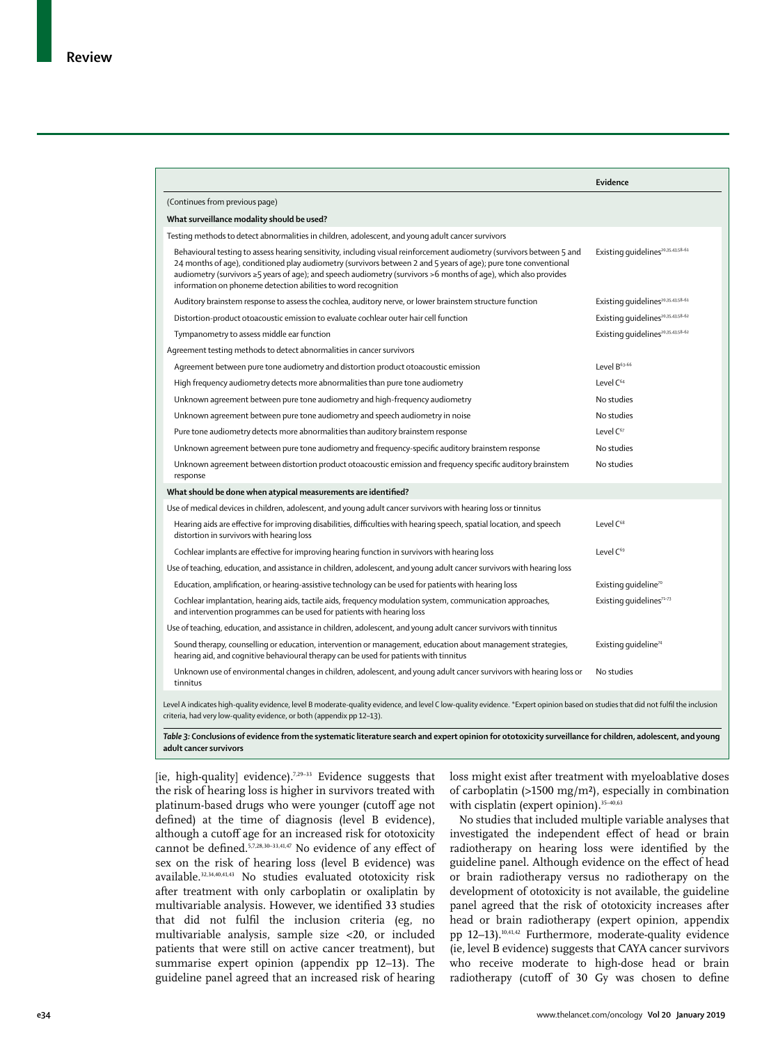|                                                                                                                                                                                                                                                                                                                                                                                                                               | Evidence                                      |  |  |  |  |
|-------------------------------------------------------------------------------------------------------------------------------------------------------------------------------------------------------------------------------------------------------------------------------------------------------------------------------------------------------------------------------------------------------------------------------|-----------------------------------------------|--|--|--|--|
| (Continues from previous page)                                                                                                                                                                                                                                                                                                                                                                                                |                                               |  |  |  |  |
| What surveillance modality should be used?                                                                                                                                                                                                                                                                                                                                                                                    |                                               |  |  |  |  |
| Testing methods to detect abnormalities in children, adolescent, and young adult cancer survivors                                                                                                                                                                                                                                                                                                                             |                                               |  |  |  |  |
| Behavioural testing to assess hearing sensitivity, including visual reinforcement audiometry (survivors between 5 and<br>24 months of age), conditioned play audiometry (survivors between 2 and 5 years of age); pure tone conventional<br>audiometry (survivors ≥5 years of age); and speech audiometry (survivors >6 months of age), which also provides<br>information on phoneme detection abilities to word recognition | Existing guidelines <sup>20,35,43,58-61</sup> |  |  |  |  |
| Auditory brainstem response to assess the cochlea, auditory nerve, or lower brainstem structure function                                                                                                                                                                                                                                                                                                                      | Existing guidelines <sup>20,35,43,58-61</sup> |  |  |  |  |
| Distortion-product otoacoustic emission to evaluate cochlear outer hair cell function                                                                                                                                                                                                                                                                                                                                         | Existing guidelines <sup>20,35,43,58-62</sup> |  |  |  |  |
| Tympanometry to assess middle ear function                                                                                                                                                                                                                                                                                                                                                                                    | Existing guidelines <sup>20,35,43,58-62</sup> |  |  |  |  |
| Agreement testing methods to detect abnormalities in cancer survivors                                                                                                                                                                                                                                                                                                                                                         |                                               |  |  |  |  |
| Agreement between pure tone audiometry and distortion product otoacoustic emission                                                                                                                                                                                                                                                                                                                                            | Level B <sup>63-66</sup>                      |  |  |  |  |
| High frequency audiometry detects more abnormalities than pure tone audiometry                                                                                                                                                                                                                                                                                                                                                | Level $C64$                                   |  |  |  |  |
| Unknown agreement between pure tone audiometry and high-frequency audiometry                                                                                                                                                                                                                                                                                                                                                  | No studies                                    |  |  |  |  |
| Unknown agreement between pure tone audiometry and speech audiometry in noise                                                                                                                                                                                                                                                                                                                                                 | No studies                                    |  |  |  |  |
| Pure tone audiometry detects more abnormalities than auditory brainstem response                                                                                                                                                                                                                                                                                                                                              | Level C <sup>67</sup>                         |  |  |  |  |
| Unknown agreement between pure tone audiometry and frequency-specific auditory brainstem response                                                                                                                                                                                                                                                                                                                             | No studies                                    |  |  |  |  |
| Unknown agreement between distortion product otoacoustic emission and frequency specific auditory brainstem<br>response                                                                                                                                                                                                                                                                                                       | No studies                                    |  |  |  |  |
| What should be done when atypical measurements are identified?                                                                                                                                                                                                                                                                                                                                                                |                                               |  |  |  |  |
| Use of medical devices in children, adolescent, and young adult cancer survivors with hearing loss or tinnitus                                                                                                                                                                                                                                                                                                                |                                               |  |  |  |  |
| Hearing aids are effective for improving disabilities, difficulties with hearing speech, spatial location, and speech<br>distortion in survivors with hearing loss                                                                                                                                                                                                                                                            | Level $C^{68}$                                |  |  |  |  |
| Cochlear implants are effective for improving hearing function in survivors with hearing loss                                                                                                                                                                                                                                                                                                                                 | Level C <sup>69</sup>                         |  |  |  |  |
| Use of teaching, education, and assistance in children, adolescent, and young adult cancer survivors with hearing loss                                                                                                                                                                                                                                                                                                        |                                               |  |  |  |  |
| Education, amplification, or hearing-assistive technology can be used for patients with hearing loss                                                                                                                                                                                                                                                                                                                          | Existing quideline <sup>70</sup>              |  |  |  |  |
| Cochlear implantation, hearing aids, tactile aids, frequency modulation system, communication approaches,<br>and intervention programmes can be used for patients with hearing loss                                                                                                                                                                                                                                           | Existing guidelines71-73                      |  |  |  |  |
| Use of teaching, education, and assistance in children, adolescent, and young adult cancer survivors with tinnitus                                                                                                                                                                                                                                                                                                            |                                               |  |  |  |  |
| Sound therapy, counselling or education, intervention or management, education about management strategies,<br>hearing aid, and cognitive behavioural therapy can be used for patients with tinnitus                                                                                                                                                                                                                          | Existing quideline <sup>74</sup>              |  |  |  |  |
| Unknown use of environmental changes in children, adolescent, and young adult cancer survivors with hearing loss or<br>tinnitus                                                                                                                                                                                                                                                                                               | No studies                                    |  |  |  |  |
| Level A indicates high-quality evidence, level B moderate-quality evidence, and level C low-quality evidence. *Expert opinion based on studies that did not fulfil the inclusion<br>criteria, had very low-quality evidence, or both (appendix pp 12-13).                                                                                                                                                                     |                                               |  |  |  |  |

*Table 3:* **Conclusions of evidence from the systematic literature search and expert opinion for ototoxicity surveillance for children, adolescent, and young adult cancer survivors**

[ie, high-quality] evidence).<sup>7,29-33</sup> Evidence suggests that the risk of hearing loss is higher in survivors treated with platinum-based drugs who were younger (cutoff age not defined) at the time of diagnosis (level B evidence), although a cutoff age for an increased risk for ototoxicity cannot be defined.5,7,28,30–33,41,47 No evidence of any effect of sex on the risk of hearing loss (level B evidence) was available.32,34,40,41,43 No studies evaluated ototoxicity risk after treatment with only carboplatin or oxaliplatin by multivariable analysis. However, we identified 33 studies that did not fulfil the inclusion criteria (eg, no multivariable analysis, sample size <20, or included patients that were still on active cancer treatment), but summarise expert opinion (appendix pp 12–13). The guideline panel agreed that an increased risk of hearing loss might exist after treatment with myeloablative doses of carboplatin (>1500 mg/m²), especially in combination with cisplatin (expert opinion).<sup>35-40,63</sup>

No studies that included multiple variable analyses that investigated the independent effect of head or brain radiotherapy on hearing loss were identified by the guideline panel. Although evidence on the effect of head or brain radiotherapy versus no radiotherapy on the development of ototoxicity is not available, the guideline panel agreed that the risk of ototoxicity increases after head or brain radiotherapy (expert opinion, appendix pp 12–13).10,41,42 Furthermore, moderate-quality evidence (ie, level B evidence) suggests that CAYA cancer survivors who receive moderate to high-dose head or brain radiotherapy (cutoff of 30 Gy was chosen to define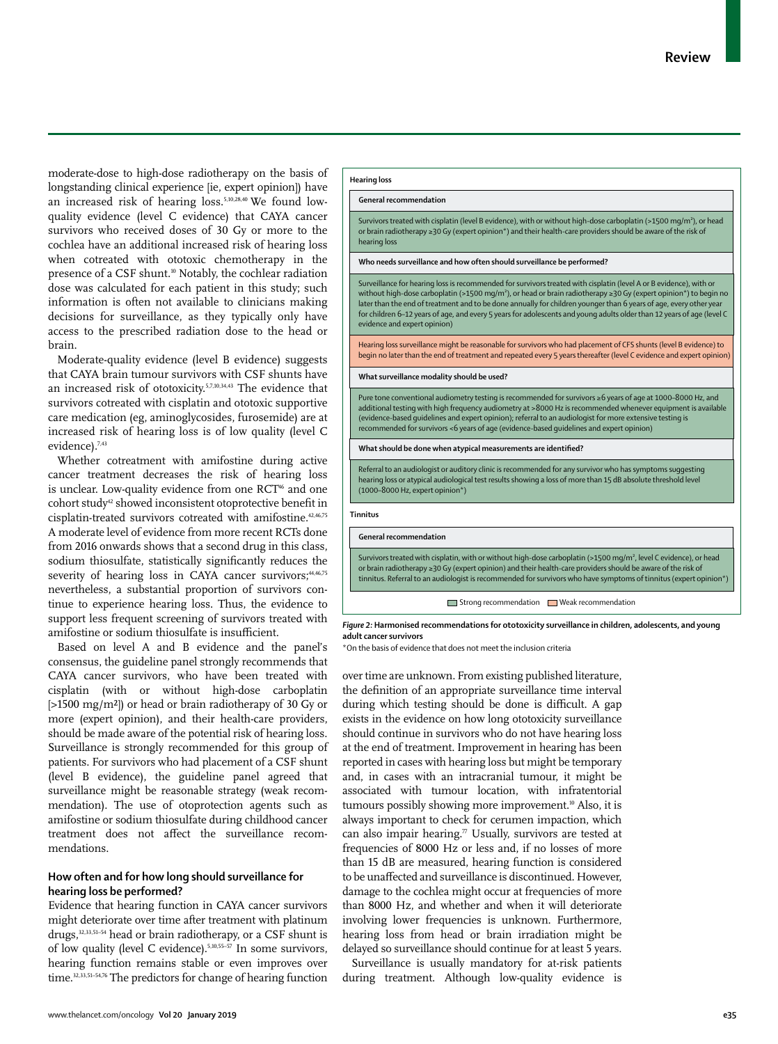moderate-dose to high-dose radiotherapy on the basis of longstanding clinical experience [ie, expert opinion]) have an increased risk of hearing loss.5,10,28,40 We found lowquality evidence (level C evidence) that CAYA cancer survivors who received doses of 30 Gy or more to the cochlea have an additional increased risk of hearing loss when cotreated with ototoxic chemotherapy in the presence of a CSF shunt.<sup>10</sup> Notably, the cochlear radiation dose was calculated for each patient in this study; such information is often not available to clinicians making decisions for surveillance, as they typically only have access to the prescribed radiation dose to the head or brain.

Moderate-quality evidence (level B evidence) suggests that CAYA brain tumour survivors with CSF shunts have an increased risk of ototoxicity.5,7,10,34,43 The evidence that survivors cotreated with cisplatin and ototoxic supportive care medication (eg, aminoglycosides, furosemide) are at increased risk of hearing loss is of low quality (level C evidence).<sup>7,43</sup>

Whether cotreatment with amifostine during active cancer treatment decreases the risk of hearing loss is unclear. Low-quality evidence from one RCT<sup>46</sup> and one cohort study<sup>42</sup> showed inconsistent otoprotective benefit in cisplatin-treated survivors cotreated with amifostine.42,46,75 A moderate level of evidence from more recent RCTs done from 2016 onwards shows that a second drug in this class, sodium thiosulfate, statistically significantly reduces the severity of hearing loss in CAYA cancer survivors;<sup>44,46,75</sup> nevertheless, a substantial proportion of survivors continue to experience hearing loss. Thus, the evidence to support less frequent screening of survivors treated with amifostine or sodium thiosulfate is insufficient.

Based on level A and B evidence and the panel's consensus, the guideline panel strongly recommends that CAYA cancer survivors, who have been treated with cisplatin (with or without high-dose carboplatin [>1500 mg/m²]) or head or brain radiotherapy of 30 Gy or more (expert opinion), and their health-care providers, should be made aware of the potential risk of hearing loss. Surveillance is strongly recommended for this group of patients. For survivors who had placement of a CSF shunt (level B evidence), the guideline panel agreed that surveillance might be reasonable strategy (weak recommendation). The use of otoprotection agents such as amifostine or sodium thiosulfate during childhood cancer treatment does not affect the surveillance recommendations.

# **How often and for how long should surveillance for hearing loss be performed?**

Evidence that hearing function in CAYA cancer survivors might deteriorate over time after treatment with platinum drugs,<sup>32,33,51-54</sup> head or brain radiotherapy, or a CSF shunt is of low quality (level C evidence).5,10,55–57 In some survivors, hearing function remains stable or even improves over time.<sup>32,33,51-54,76</sup> The predictors for change of hearing function

### **Hearing loss**

### **General recommendation**

Survivors treated with cisplatin (level B evidence), with or without high-dose carboplatin (>1500 mg/m²), or head or brain radiotherapy ≥30 Gy (expert opinion\*) and their health-care providers should be aware of the risk of hearing loss

**Who needs surveillance and how often should surveillance be performed?**

Surveillance for hearing loss is recommended for survivors treated with cisplatin (level A or B evidence), with or without high-dose carboplatin (>1500 mg/m²), or head or brain radiotherapy ≥30 Gy (expert opinion\*) to begin no later than the end of treatment and to be done annually for children younger than 6 years of age, every other year for children 6–12 years of age, and every 5 years for adolescents and young adults older than 12 years of age (level C evidence and expert opinion)

Hearing loss surveillance might be reasonable for survivors who had placement of CFS shunts (level B evidence) to begin no later than the end of treatment and repeated every 5 years thereafter (level C evidence and expert opinion)

**What surveillance modality should be used?**

Pure tone conventional audiometry testing is recommended for survivors ≥6 years of age at 1000–8000 Hz, and additional testing with high frequency audiometry at >8000 Hz is recommended whenever equipment is available (evidence-based guidelines and expert opinion); referral to an audiologist for more extensive testing is recommended for survivors <6 years of age (evidence-based guidelines and expert opinion)

**What should be done when atypical measurements are identified?**

Referral to an audiologist or auditory clinic is recommended for any survivor who has symptoms suggesting hearing loss or atypical audiological test results showing a loss of more than 15 dB absolute threshold level (1000–8000 Hz, expert opinion\*)

**Tinnitus General recommendation** Survivors treated with cisplatin, with or without high-dose carboplatin (>1500 mg/m², level C evidence), or head<br>or brain radiotherapy ≥30 Gy (expert opinion) and their health-care providers should be aware of the risk of tinnitus. Referral to an audiologist is recommended for survivors who have symptoms of tinnitus (expert opinion\*)

Strong recommendation Weak recommendation

*Figure 2:* **Harmonised recommendations for ototoxicity surveillance in children, adolescents, and young adult cancer survivors**

\*On the basis of evidence that does not meet the inclusion criteria

over time are unknown. From existing published literature, the definition of an appropriate surveillance time interval during which testing should be done is difficult. A gap exists in the evidence on how long ototoxicity surveillance should continue in survivors who do not have hearing loss at the end of treatment. Improvement in hearing has been reported in cases with hearing loss but might be temporary and, in cases with an intracranial tumour, it might be associated with tumour location, with infratentorial tumours possibly showing more improvement.<sup>10</sup> Also, it is always important to check for cerumen impaction, which can also impair hearing. $\sqrt{7}$  Usually, survivors are tested at frequencies of 8000 Hz or less and, if no losses of more than 15 dB are measured, hearing function is considered to be unaffected and surveillance is discontinued. However, damage to the cochlea might occur at frequencies of more than 8000 Hz, and whether and when it will deteriorate involving lower frequencies is unknown. Furthermore, hearing loss from head or brain irradiation might be delayed so surveillance should continue for at least 5 years.

Surveillance is usually mandatory for at-risk patients during treatment. Although low-quality evidence is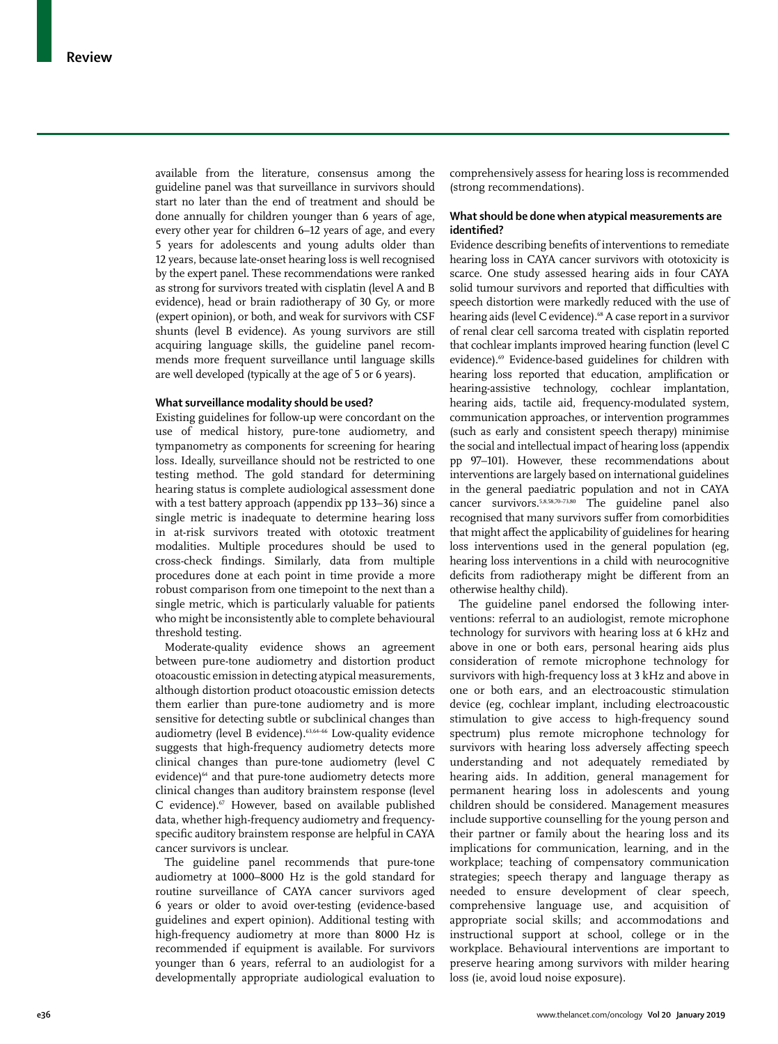available from the literature, consensus among the guideline panel was that surveillance in survivors should start no later than the end of treatment and should be done annually for children younger than 6 years of age, every other year for children 6–12 years of age, and every 5 years for adolescents and young adults older than 12 years, because late-onset hearing loss is well recognised by the expert panel. These recommendations were ranked as strong for survivors treated with cisplatin (level A and B evidence), head or brain radiotherapy of 30 Gy, or more (expert opinion), or both, and weak for survivors with CSF shunts (level B evidence). As young survivors are still acquiring language skills, the guideline panel recommends more frequent surveillance until language skills are well developed (typically at the age of 5 or 6 years).

### **What surveillance modality should be used?**

Existing guidelines for follow-up were concordant on the use of medical history, pure-tone audiometry, and tympanometry as components for screening for hearing loss. Ideally, surveillance should not be restricted to one testing method. The gold standard for determining hearing status is complete audiological assessment done with a test battery approach (appendix pp 133–36) since a single metric is inadequate to determine hearing loss in at-risk survivors treated with ototoxic treatment modalities. Multiple procedures should be used to cross-check findings. Similarly, data from multiple procedures done at each point in time provide a more robust comparison from one timepoint to the next than a single metric, which is particularly valuable for patients who might be inconsistently able to complete behavioural threshold testing.

Moderate-quality evidence shows an agreement between pure-tone audiometry and distortion product otoacoustic emission in detecting atypical measurements, although distortion product otoacoustic emission detects them earlier than pure-tone audiometry and is more sensitive for detecting subtle or subclinical changes than audiometry (level B evidence).<sup>63,64-66</sup> Low-quality evidence suggests that high-frequency audiometry detects more clinical changes than pure-tone audiometry (level C evidence)<sup>64</sup> and that pure-tone audiometry detects more clinical changes than auditory brainstem response (level C evidence).67 However, based on available published data, whether high-frequency audiometry and frequencyspecific auditory brainstem response are helpful in CAYA cancer survivors is unclear.

The guideline panel recommends that pure-tone audiometry at 1000–8000 Hz is the gold standard for routine surveillance of CAYA cancer survivors aged 6 years or older to avoid over-testing (evidence-based guidelines and expert opinion). Additional testing with high-frequency audiometry at more than 8000 Hz is recommended if equipment is available. For survivors younger than 6 years, referral to an audiologist for a developmentally appropriate audiological evaluation to comprehensively assess for hearing loss is recommended (strong recommendations).

# **What should be done when atypical measurements are identified?**

Evidence describing benefits of interventions to remediate hearing loss in CAYA cancer survivors with ototoxicity is scarce. One study assessed hearing aids in four CAYA solid tumour survivors and reported that difficulties with speech distortion were markedly reduced with the use of hearing aids (level C evidence).<sup>68</sup> A case report in a survivor of renal clear cell sarcoma treated with cisplatin reported that cochlear implants improved hearing function (level C evidence).69 Evidence-based guidelines for children with hearing loss reported that education, amplification or hearing-assistive technology, cochlear implantation, hearing aids, tactile aid, frequency-modulated system, communication approaches, or intervention programmes (such as early and consistent speech therapy) minimise the social and intellectual impact of hearing loss (appendix pp 97–101). However, these recommendations about interventions are largely based on international guidelines in the general paediatric population and not in CAYA cancer survivors.5,8,58,70–73,80 The guideline panel also recognised that many survivors suffer from comorbidities that might affect the applicability of guidelines for hearing loss interventions used in the general population (eg, hearing loss interventions in a child with neurocognitive deficits from radiotherapy might be different from an otherwise healthy child).

The guideline panel endorsed the following interventions: referral to an audiologist, remote microphone technology for survivors with hearing loss at 6 kHz and above in one or both ears, personal hearing aids plus consideration of remote microphone technology for survivors with high-frequency loss at 3 kHz and above in one or both ears, and an electroacoustic stimulation device (eg, cochlear implant, including electroacoustic stimulation to give access to high-frequency sound spectrum) plus remote microphone technology for survivors with hearing loss adversely affecting speech understanding and not adequately remediated by hearing aids. In addition, general management for permanent hearing loss in adolescents and young children should be considered. Management measures include supportive counselling for the young person and their partner or family about the hearing loss and its implications for communication, learning, and in the workplace; teaching of compensatory communication strategies; speech therapy and language therapy as needed to ensure development of clear speech, comprehensive language use, and acquisition of appropriate social skills; and accommodations and instructional support at school, college or in the workplace. Behavioural interventions are important to preserve hearing among survivors with milder hearing loss (ie, avoid loud noise exposure).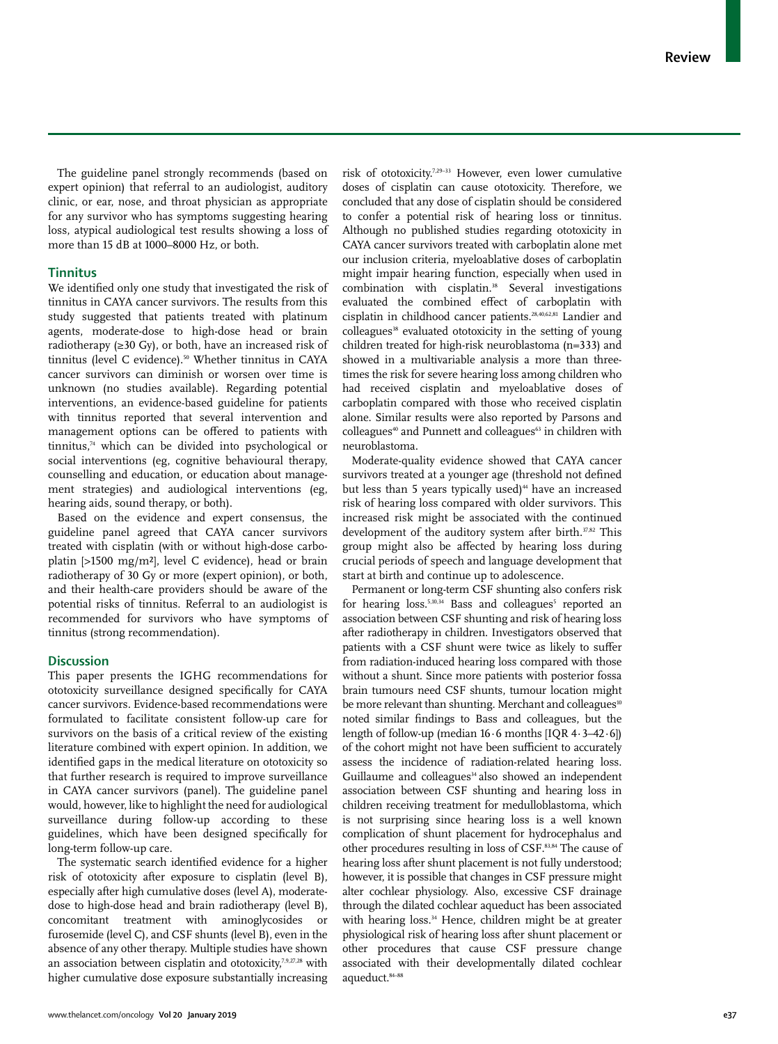The guideline panel strongly recommends (based on expert opinion) that referral to an audiologist, auditory clinic, or ear, nose, and throat physician as appropriate for any survivor who has symptoms suggesting hearing loss, atypical audiological test results showing a loss of more than 15 dB at 1000–8000 Hz, or both.

# **Tinnitus**

We identified only one study that investigated the risk of tinnitus in CAYA cancer survivors. The results from this study suggested that patients treated with platinum agents, moderate-dose to high-dose head or brain radiotherapy  $(\geq 30 \text{ Gy})$ , or both, have an increased risk of tinnitus (level C evidence).<sup>50</sup> Whether tinnitus in CAYA cancer survivors can diminish or worsen over time is unknown (no studies available). Regarding potential interventions, an evidence-based guideline for patients with tinnitus reported that several intervention and management options can be offered to patients with tinnitus,<sup>74</sup> which can be divided into psychological or social interventions (eg, cognitive behavioural therapy, counselling and education, or education about management strategies) and audiological interventions (eg, hearing aids, sound therapy, or both).

Based on the evidence and expert consensus, the guideline panel agreed that CAYA cancer survivors treated with cisplatin (with or without high-dose carboplatin [>1500 mg/m²], level C evidence), head or brain radiotherapy of 30 Gy or more (expert opinion), or both, and their health-care providers should be aware of the potential risks of tinnitus. Referral to an audiologist is recommended for survivors who have symptoms of tinnitus (strong recommendation).

# **Discussion**

This paper presents the IGHG recommendations for ototoxicity surveillance designed specifically for CAYA cancer survivors. Evidence-based recommendations were formulated to facilitate consistent follow-up care for survivors on the basis of a critical review of the existing literature combined with expert opinion. In addition, we identified gaps in the medical literature on ototoxicity so that further research is required to improve surveillance in CAYA cancer survivors (panel). The guideline panel would, however, like to highlight the need for audiological surveillance during follow-up according to these guidelines, which have been designed specifically for long-term follow-up care.

The systematic search identified evidence for a higher risk of ototoxicity after exposure to cisplatin (level B), especially after high cumulative doses (level A), moderatedose to high-dose head and brain radiotherapy (level B), concomitant treatment with aminoglycosides or furosemide (level C), and CSF shunts (level B), even in the absence of any other therapy. Multiple studies have shown an association between cisplatin and ototoxicity,7,9,27,28 with higher cumulative dose exposure substantially increasing risk of ototoxicity.7,29–33 However, even lower cumulative doses of cisplatin can cause ototoxicity. Therefore, we concluded that any dose of cisplatin should be considered to confer a potential risk of hearing loss or tinnitus. Although no published studies regarding ototoxicity in CAYA cancer survivors treated with carboplatin alone met our inclusion criteria, myeloablative doses of carboplatin might impair hearing function, especially when used in combination with cisplatin.<sup>38</sup> Several investigations evaluated the combined effect of carboplatin with cisplatin in childhood cancer patients.28,40,62,81 Landier and colleagues<sup>38</sup> evaluated ototoxicity in the setting of young children treated for high-risk neuroblastoma (n=333) and showed in a multivariable analysis a more than threetimes the risk for severe hearing loss among children who had received cisplatin and myeloablative doses of carboplatin compared with those who received cisplatin alone. Similar results were also reported by Parsons and colleagues<sup>40</sup> and Punnett and colleagues<sup>63</sup> in children with neuroblastoma.

Moderate-quality evidence showed that CAYA cancer survivors treated at a younger age (threshold not defined but less than 5 years typically used)<sup>44</sup> have an increased risk of hearing loss compared with older survivors. This increased risk might be associated with the continued development of the auditory system after birth.<sup>37,82</sup> This group might also be affected by hearing loss during crucial periods of speech and language development that start at birth and continue up to adolescence.

Permanent or long-term CSF shunting also confers risk for hearing loss.<sup>5,10,34</sup> Bass and colleagues<sup>5</sup> reported an association between CSF shunting and risk of hearing loss after radiotherapy in children. Investigators observed that patients with a CSF shunt were twice as likely to suffer from radiation-induced hearing loss compared with those without a shunt. Since more patients with posterior fossa brain tumours need CSF shunts, tumour location might be more relevant than shunting. Merchant and colleagues<sup>10</sup> noted similar findings to Bass and colleagues, but the length of follow-up (median 16·6 months [IQR 4·3–42·6]) of the cohort might not have been sufficient to accurately assess the incidence of radiation-related hearing loss. Guillaume and colleagues $34$  also showed an independent association between CSF shunting and hearing loss in children receiving treatment for medulloblastoma, which is not surprising since hearing loss is a well known complication of shunt placement for hydrocephalus and other procedures resulting in loss of CSF.83,84 The cause of hearing loss after shunt placement is not fully understood; however, it is possible that changes in CSF pressure might alter cochlear physiology. Also, excessive CSF drainage through the dilated cochlear aqueduct has been associated with hearing loss.<sup>34</sup> Hence, children might be at greater physiological risk of hearing loss after shunt placement or other procedures that cause CSF pressure change associated with their developmentally dilated cochlear aqueduct.84–88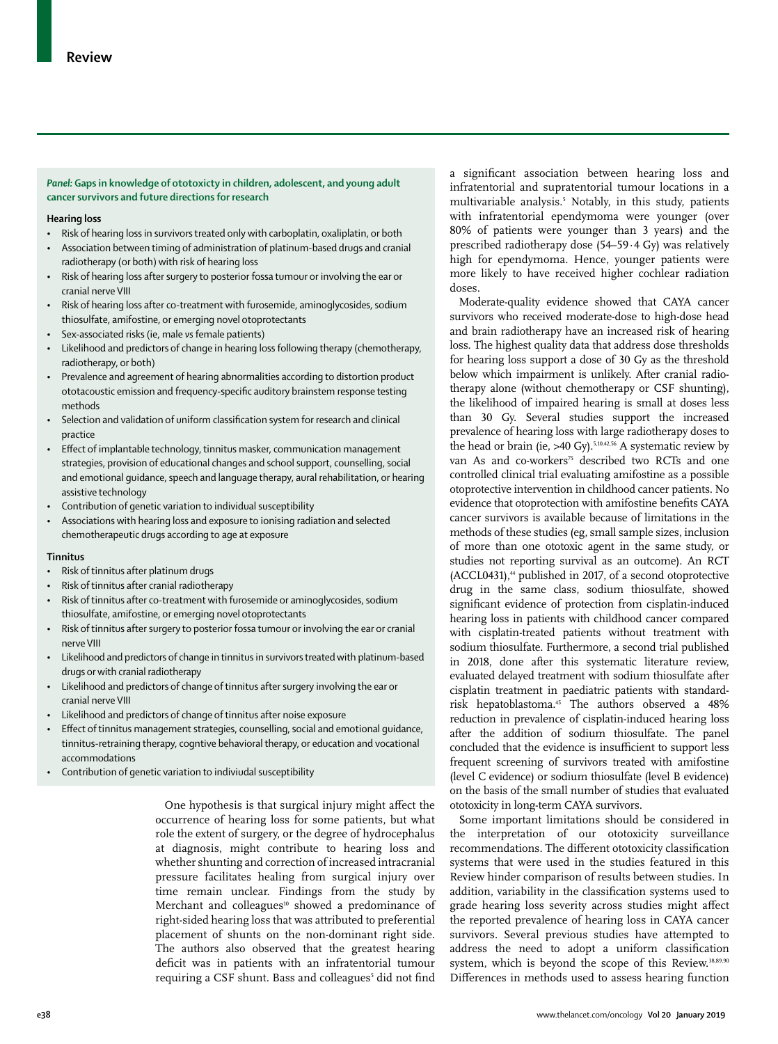# *Panel:* **Gaps in knowledge of ototoxicty in children, adolescent, and young adult cancer survivors and future directions for research**

### **Hearing loss**

- Risk of hearing loss in survivors treated only with carboplatin, oxaliplatin, or both
- Association between timing of administration of platinum-based drugs and cranial radiotherapy (or both) with risk of hearing loss
- Risk of hearing loss after surgery to posterior fossa tumour or involving the ear or cranial nerve VIII
- Risk of hearing loss after co-treatment with furosemide, aminoglycosides, sodium thiosulfate, amifostine, or emerging novel otoprotectants
- Sex-associated risks (ie, male *vs* female patients)
- Likelihood and predictors of change in hearing loss following therapy (chemotherapy, radiotherapy, or both)
- Prevalence and agreement of hearing abnormalities according to distortion product ototacoustic emission and frequency-specific auditory brainstem response testing methods
- Selection and validation of uniform classification system for research and clinical practice
- Effect of implantable technology, tinnitus masker, communication management strategies, provision of educational changes and school support, counselling, social and emotional guidance, speech and language therapy, aural rehabilitation, or hearing assistive technology
- Contribution of genetic variation to individual susceptibility
- Associations with hearing loss and exposure to ionising radiation and selected chemotherapeutic drugs according to age at exposure

### **Tinnitus**

- Risk of tinnitus after platinum drugs
- Risk of tinnitus after cranial radiotherapy
- Risk of tinnitus after co-treatment with furosemide or aminoglycosides, sodium thiosulfate, amifostine, or emerging novel otoprotectants
- Risk of tinnitus after surgery to posterior fossa tumour or involving the ear or cranial nerve VIII
- Likelihood and predictors of change in tinnitus in survivors treated with platinum-based drugs or with cranial radiotherapy
- Likelihood and predictors of change of tinnitus after surgery involving the ear or cranial nerve VIII
- Likelihood and predictors of change of tinnitus after noise exposure
- Effect of tinnitus management strategies, counselling, social and emotional guidance, tinnitus-retraining therapy, cogntive behavioral therapy, or education and vocational accommodations
- Contribution of genetic variation to indiviudal susceptibility

One hypothesis is that surgical injury might affect the occurrence of hearing loss for some patients, but what role the extent of surgery, or the degree of hydrocephalus at diagnosis, might contribute to hearing loss and whether shunting and correction of increased intracranial pressure facilitates healing from surgical injury over time remain unclear. Findings from the study by Merchant and colleagues<sup>10</sup> showed a predominance of right-sided hearing loss that was attributed to preferential placement of shunts on the non-dominant right side. The authors also observed that the greatest hearing deficit was in patients with an infratentorial tumour requiring a CSF shunt. Bass and colleagues<sup>5</sup> did not find a significant association between hearing loss and infratentorial and supratentorial tumour locations in a multivariable analysis.5 Notably, in this study, patients with infratentorial ependymoma were younger (over 80% of patients were younger than 3 years) and the prescribed radiotherapy dose (54–59·4 Gy) was relatively high for ependymoma. Hence, younger patients were more likely to have received higher cochlear radiation doses.

Moderate-quality evidence showed that CAYA cancer survivors who received moderate-dose to high-dose head and brain radiotherapy have an increased risk of hearing loss. The highest quality data that address dose thresholds for hearing loss support a dose of 30 Gy as the threshold below which impairment is unlikely. After cranial radiotherapy alone (without chemotherapy or CSF shunting), the likelihood of impaired hearing is small at doses less than 30 Gy. Several studies support the increased prevalence of hearing loss with large radiotherapy doses to the head or brain (ie,  $>40$  Gy).<sup>5,10,42,56</sup> A systematic review by van As and co-workers<sup>75</sup> described two RCTs and one controlled clinical trial evaluating amifostine as a possible otoprotective intervention in childhood cancer patients. No evidence that otoprotection with amifostine benefits CAYA cancer survivors is available because of limitations in the methods of these studies (eg, small sample sizes, inclusion of more than one ototoxic agent in the same study, or studies not reporting survival as an outcome). An RCT  $(ACCL0431)$ ,<sup>44</sup> published in 2017, of a second otoprotective drug in the same class, sodium thiosulfate, showed significant evidence of protection from cisplatin-induced hearing loss in patients with childhood cancer compared with cisplatin-treated patients without treatment with sodium thiosulfate. Furthermore, a second trial published in 2018, done after this systematic literature review, evaluated delayed treatment with sodium thiosulfate after cisplatin treatment in paediatric patients with standardrisk hepatoblastoma.<sup>45</sup> The authors observed a 48% reduction in prevalence of cisplatin-induced hearing loss after the addition of sodium thiosulfate. The panel concluded that the evidence is insufficient to support less frequent screening of survivors treated with amifostine (level C evidence) or sodium thiosulfate (level B evidence) on the basis of the small number of studies that evaluated ototoxicity in long-term CAYA survivors.

Some important limitations should be considered in the interpretation of our ototoxicity surveillance recommendations. The different ototoxicity classification systems that were used in the studies featured in this Review hinder comparison of results between studies. In addition, variability in the classification systems used to grade hearing loss severity across studies might affect the reported prevalence of hearing loss in CAYA cancer survivors. Several previous studies have attempted to address the need to adopt a uniform classification system, which is beyond the scope of this Review.<sup>38,89,90</sup> Differences in methods used to assess hearing function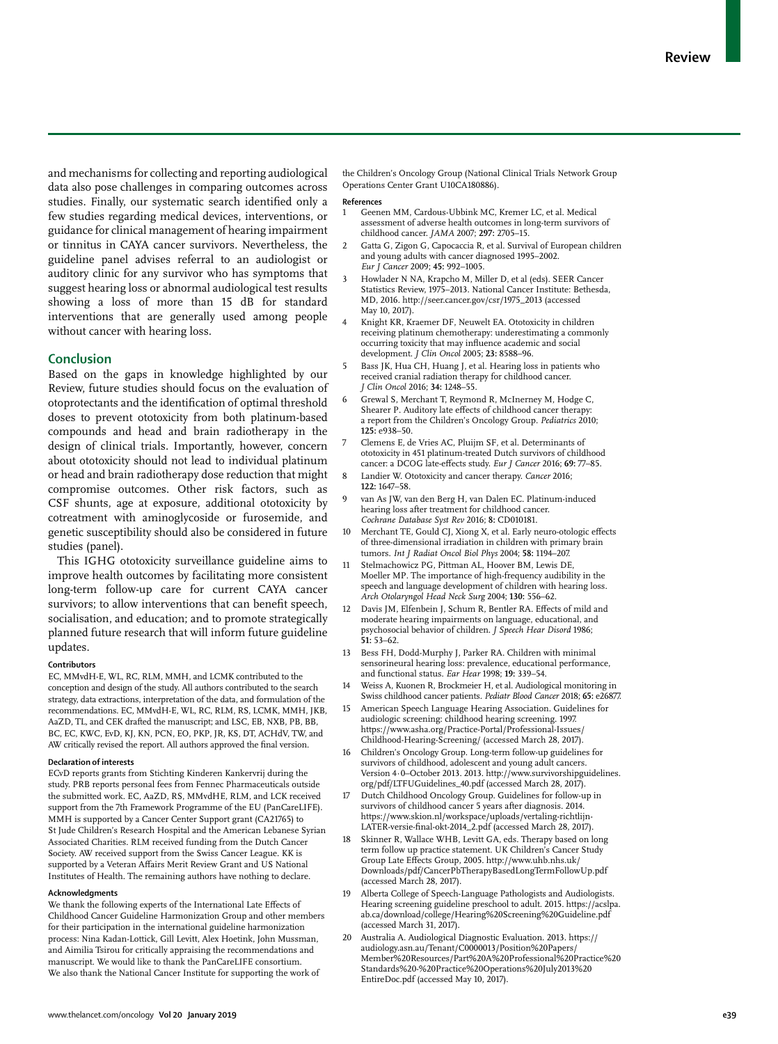and mechanisms for collecting and reporting audiological data also pose challenges in comparing outcomes across studies. Finally, our systematic search identified only a few studies regarding medical devices, interventions, or guidance for clinical management of hearing impairment or tinnitus in CAYA cancer survivors. Nevertheless, the guideline panel advises referral to an audiologist or auditory clinic for any survivor who has symptoms that suggest hearing loss or abnormal audiological test results showing a loss of more than 15 dB for standard interventions that are generally used among people without cancer with hearing loss.

### **Conclusion**

Based on the gaps in knowledge highlighted by our Review, future studies should focus on the evaluation of otoprotectants and the identification of optimal threshold doses to prevent ototoxicity from both platinum-based compounds and head and brain radiotherapy in the design of clinical trials. Importantly, however, concern about ototoxicity should not lead to individual platinum or head and brain radiotherapy dose reduction that might compromise outcomes. Other risk factors, such as CSF shunts, age at exposure, additional ototoxicity by cotreatment with aminoglycoside or furosemide, and genetic susceptibility should also be considered in future studies (panel).

This IGHG ototoxicity surveillance guideline aims to improve health outcomes by facilitating more consistent long-term follow-up care for current CAYA cancer survivors; to allow interventions that can benefit speech, socialisation, and education; and to promote strategically planned future research that will inform future guideline updates.

### **Contributors**

EC, MMvdH-E, WL, RC, RLM, MMH, and LCMK contributed to the conception and design of the study. All authors contributed to the search strategy, data extractions, interpretation of the data, and formulation of the recommendations. EC, MMvdH-E, WL, RC, RLM, RS, LCMK, MMH, JKB, AaZD, TL, and CEK drafted the manuscript; and LSC, EB, NXB, PB, BB, BC, EC, KWC, EvD, KJ, KN, PCN, EO, PKP, JR, KS, DT, ACHdV, TW, and AW critically revised the report. All authors approved the final version.

### **Declaration of interests**

ECvD reports grants from Stichting Kinderen Kankervrij during the study. PRB reports personal fees from Fennec Pharmaceuticals outside the submitted work. EC, AaZD, RS, MMvdHE, RLM, and LCK received support from the 7th Framework Programme of the EU (PanCareLIFE). MMH is supported by a Cancer Center Support grant (CA21765) to St Jude Children's Research Hospital and the American Lebanese Syrian Associated Charities. RLM received funding from the Dutch Cancer Society. AW received support from the Swiss Cancer League. KK is supported by a Veteran Affairs Merit Review Grant and US National Institutes of Health. The remaining authors have nothing to declare.

### **Acknowledgments**

We thank the following experts of the International Late Effects of Childhood Cancer Guideline Harmonization Group and other members for their participation in the international guideline harmonization process: Nina Kadan-Lottick, Gill Levitt, Alex Hoetink, John Mussman, and Aimilia Tsirou for critically appraising the recommendations and manuscript. We would like to thank the PanCareLIFE consortium. We also thank the National Cancer Institute for supporting the work of

the Children's Oncology Group (National Clinical Trials Network Group Operations Center Grant U10CA180886).

### **References**

- 1 Geenen MM, Cardous-Ubbink MC, Kremer LC, et al. Medical assessment of adverse health outcomes in long-term survivors of childhood cancer. *JAMA* 2007; **297:** 2705–15.
- 2 Gatta G, Zigon G, Capocaccia R, et al. Survival of European children and young adults with cancer diagnosed 1995–2002. *Eur J Cancer* 2009; **45:** 992–1005.
- 3 Howlader N NA, Krapcho M, Miller D, et al (eds). SEER Cancer Statistics Review, 1975–2013. National Cancer Institute: Bethesda, MD, 2016. http://seer.cancer.gov/csr/1975\_2013 (accessed May 10, 2017).
- 4 Knight KR, Kraemer DF, Neuwelt EA. Ototoxicity in children receiving platinum chemotherapy: underestimating a commonly occurring toxicity that may influence academic and social development. *J Clin Oncol* 2005; **23:** 8588–96.
- Bass JK, Hua CH, Huang J, et al. Hearing loss in patients who received cranial radiation therapy for childhood cancer. *J Clin Oncol* 2016; **34:** 1248–55.
- 6 Grewal S, Merchant T, Reymond R, McInerney M, Hodge C, Shearer P. Auditory late effects of childhood cancer therapy: a report from the Children's Oncology Group. *Pediatrics* 2010; **125:** e938–50.
- 7 Clemens E, de Vries AC, Pluijm SF, et al. Determinants of ototoxicity in 451 platinum-treated Dutch survivors of childhood cancer: a DCOG late-effects study. *Eur J Cancer* 2016; **69:** 77–85. 8 Landier W. Ototoxicity and cancer therapy. *Cancer* 2016;
	- **122:** 1647–58.
- 9 van As JW, van den Berg H, van Dalen EC. Platinum-induced hearing loss after treatment for childhood cancer. *Cochrane Database Syst Rev* 2016; **8:** CD010181.
- 10 Merchant TE, Gould CJ, Xiong X, et al. Early neuro-otologic effects of three-dimensional irradiation in children with primary brain tumors. *Int J Radiat Oncol Biol Phys* 2004; **58:** 1194–207.
- 11 Stelmachowicz PG, Pittman AL, Hoover BM, Lewis DE, Moeller MP. The importance of high-frequency audibility in the speech and language development of children with hearing loss. *Arch Otolaryngol Head Neck Surg* 2004; **130:** 556–62.
- Davis JM, Elfenbein J, Schum R, Bentler RA. Effects of mild and moderate hearing impairments on language, educational, and psychosocial behavior of children. *J Speech Hear Disord* 1986; **51:** 53–62.
- 13 Bess FH, Dodd-Murphy J, Parker RA. Children with minimal sensorineural hearing loss: prevalence, educational performance, and functional status. *Ear Hear* 1998; **19:** 339–54.
- Weiss A, Kuonen R, Brockmeier H, et al. Audiological monitoring in Swiss childhood cancer patients. *Pediatr Blood Cancer* 2018; **65:** e26877.
- 15 American Speech Language Hearing Association. Guidelines for audiologic screening: childhood hearing screening. 1997. https://www.asha.org/Practice-Portal/Professional-Issues/ Childhood-Hearing-Screening/ (accessed March 28, 2017).
- 16 Children's Oncology Group. Long-term follow-up guidelines for survivors of childhood, adolescent and young adult cancers. Version 4·0–October 2013. 2013. http://www.survivorshipguidelines. org/pdf/LTFUGuidelines\_40.pdf (accessed March 28, 2017).
- 17 Dutch Childhood Oncology Group. Guidelines for follow-up in survivors of childhood cancer 5 years after diagnosis. 2014. https://www.skion.nl/workspace/uploads/vertaling-richtlijn-LATER-versie-final-okt-2014\_2.pdf (accessed March 28, 2017).
- 18 Skinner R, Wallace WHB, Levitt GA, eds. Therapy based on long term follow up practice statement. UK Children's Cancer Study Group Late Effects Group, 2005. http://www.uhb.nhs.uk/ Downloads/pdf/CancerPbTherapyBasedLongTermFollowUp.pdf (accessed March 28, 2017).
- 19 Alberta College of Speech-Language Pathologists and Audiologists. Hearing screening guideline preschool to adult. 2015. https://acslpa. ab.ca/download/college/Hearing%20Screening%20Guideline.pdf (accessed March 31, 2017).
- 20 Australia A. Audiological Diagnostic Evaluation. 2013. https:// audiology.asn.au/Tenant/C0000013/Position%20Papers/ Member%20Resources/Part%20A%20Professional%20Practice%20 Standards%20-%20Practice%20Operations%20July2013%20 EntireDoc.pdf (accessed May 10, 2017).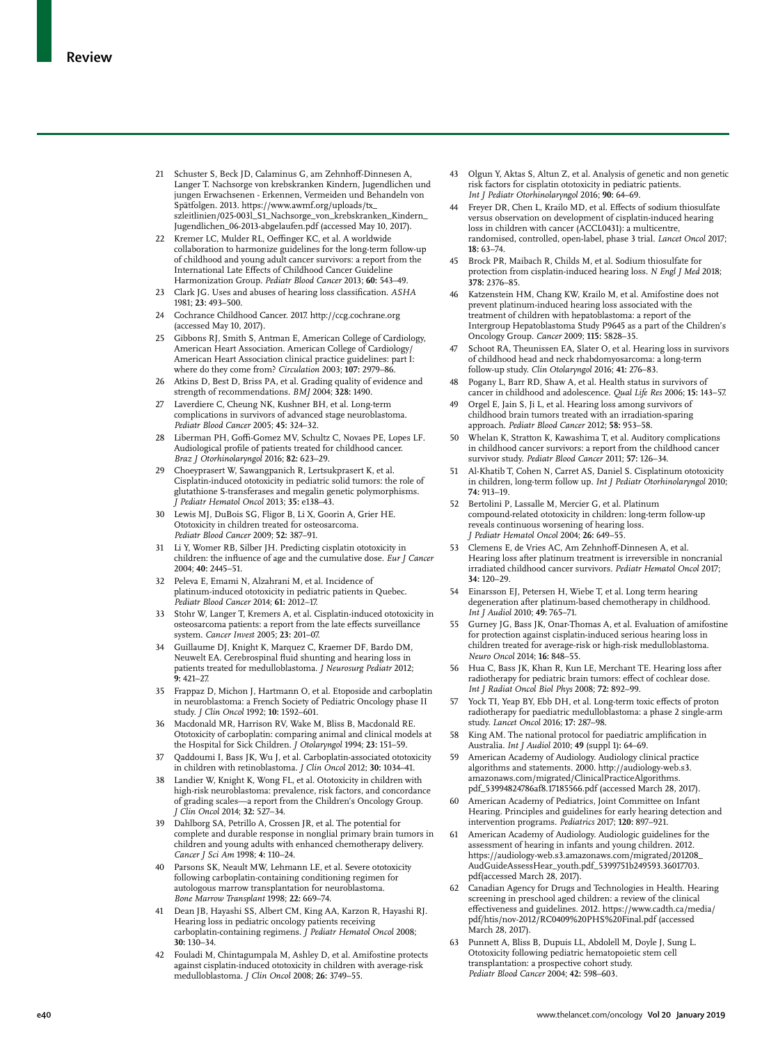- 21 Schuster S, Beck JD, Calaminus G, am Zehnhoff-Dinnesen A, Langer T. Nachsorge von krebskranken Kindern, Jugendlichen und jungen Erwachsenen - Erkennen, Vermeiden und Behandeln von Spätfolgen. 2013. https://www.awmf.org/uploads/tx\_ szleitlinien/025-003l\_S1\_Nachsorge\_von\_krebskranken\_Kindern\_ Jugendlichen\_06-2013-abgelaufen.pdf (accessed May 10, 2017).
- 22 Kremer LC, Mulder RL, Oeffinger KC, et al. A worldwide collaboration to harmonize guidelines for the long-term follow-up of childhood and young adult cancer survivors: a report from the International Late Effects of Childhood Cancer Guideline Harmonization Group. *Pediatr Blood Cancer* 2013; **60:** 543–49.
- 23 Clark JG. Uses and abuses of hearing loss classification. *ASHA* 1981; **23:** 493–500.
- 24 Cochrance Childhood Cancer. 2017. http://ccg.cochrane.org (accessed May 10, 2017).
- 25 Gibbons RJ, Smith S, Antman E, American College of Cardiology, American Heart Association. American College of Cardiology American Heart Association clinical practice guidelines: part I: where do they come from? *Circulation* 2003; **107:** 2979–86.
- 26 Atkins D, Best D, Briss PA, et al. Grading quality of evidence and strength of recommendations. *BMJ* 2004; **328:** 1490.
- 27 Laverdiere C, Cheung NK, Kushner BH, et al. Long-term complications in survivors of advanced stage neuroblastoma. *Pediatr Blood Cancer* 2005; **45:** 324–32.
- 28 Liberman PH, Goffi-Gomez MV, Schultz C, Novaes PE, Lopes LF. Audiological profile of patients treated for childhood cancer. *Braz J Otorhinolaryngol* 2016; **82:** 623–29.
- 29 Choeyprasert W, Sawangpanich R, Lertsukprasert K, et al. Cisplatin-induced ototoxicity in pediatric solid tumors: the role of glutathione S-transferases and megalin genetic polymorphisms. *J Pediatr Hematol Oncol* 2013; **35:** e138–43.
- 30 Lewis MJ, DuBois SG, Fligor B, Li X, Goorin A, Grier HE. Ototoxicity in children treated for osteosarcoma. *Pediatr Blood Cancer* 2009; **52:** 387–91.
- 31 Li Y, Womer RB, Silber JH. Predicting cisplatin ototoxicity in children: the influence of age and the cumulative dose. *Eur J Cancer* 2004; **40:** 2445–51.
- 32 Peleva E, Emami N, Alzahrani M, et al. Incidence of platinum-induced ototoxicity in pediatric patients in Quebec. *Pediatr Blood Cancer* 2014; **61:** 2012–17.
- 33 Stohr W, Langer T, Kremers A, et al. Cisplatin-induced ototoxicity in osteosarcoma patients: a report from the late effects surveillance system. *Cancer Invest* 2005; **23:** 201–07.
- <sup>34</sup> Guillaume DJ, Knight K, Marquez C, Kraemer DF, Bardo DM, Neuwelt EA. Cerebrospinal fluid shunting and hearing loss in patients treated for medulloblastoma. *J Neurosurg Pediatr* 2012; **9:** 421–27.
- 35 Frappaz D, Michon J, Hartmann O, et al. Etoposide and carboplatin in neuroblastoma: a French Society of Pediatric Oncology phase II study. *J Clin Oncol* 1992; **10:** 1592–601.
- 36 Macdonald MR, Harrison RV, Wake M, Bliss B, Macdonald RE. Ototoxicity of carboplatin: comparing animal and clinical models at the Hospital for Sick Children. *J Otolaryngol* 1994; **23:** 151–59.
- 37 Qaddoumi I, Bass JK, Wu J, et al. Carboplatin-associated ototoxicity in children with retinoblastoma. *J Clin Oncol* 2012; **30:** 1034–41.
- 38 Landier W, Knight K, Wong FL, et al. Ototoxicity in children with high-risk neuroblastoma: prevalence, risk factors, and concordance of grading scales—a report from the Children's Oncology Group. *J Clin Oncol* 2014; **32:** 527–34.
- 39 Dahlborg SA, Petrillo A, Crossen JR, et al. The potential for complete and durable response in nonglial primary brain tumors in children and young adults with enhanced chemotherapy delivery. *Cancer J Sci Am* 1998; **4:** 110–24.
- 40 Parsons SK, Neault MW, Lehmann LE, et al. Severe ototoxicity following carboplatin-containing conditioning regimen for autologous marrow transplantation for neuroblastoma. *Bone Marrow Transplant* 1998; **22:** 669–74.
- <sup>41</sup> Dean JB, Hayashi SS, Albert CM, King AA, Karzon R, Hayashi RJ. Hearing loss in pediatric oncology patients receiving carboplatin-containing regimens. *J Pediatr Hematol Oncol* 2008; **30:** 130–34.
- 42 Fouladi M, Chintagumpala M, Ashley D, et al. Amifostine protects against cisplatin-induced ototoxicity in children with average-risk medulloblastoma. *J Clin Oncol* 2008; **26:** 3749–55.
- 43 Olgun Y, Aktas S, Altun Z, et al. Analysis of genetic and non genetic risk factors for cisplatin ototoxicity in pediatric patients. *Int J Pediatr Otorhinolaryngol* 2016; **90:** 64–69.
- Freyer DR, Chen L, Krailo MD, et al. Effects of sodium thiosulfate versus observation on development of cisplatin-induced hearing loss in children with cancer (ACCL0431): a multicentre, randomised, controlled, open-label, phase 3 trial. *Lancet Oncol* 2017; **18:** 63–74.
- 45 Brock PR, Maibach R, Childs M, et al. Sodium thiosulfate for protection from cisplatin-induced hearing loss. *N Engl J Med* 2018; **378:** 2376–85.
- 46 Katzenstein HM, Chang KW, Krailo M, et al. Amifostine does not prevent platinum-induced hearing loss associated with the treatment of children with hepatoblastoma: a report of the Intergroup Hepatoblastoma Study P9645 as a part of the Children's Oncology Group. *Cancer* 2009; **115:** 5828–35.
- 47 Schoot RA, Theunissen EA, Slater O, et al. Hearing loss in survivors of childhood head and neck rhabdomyosarcoma: a long-term follow-up study. *Clin Otolaryngol* 2016; **41:** 276–83.
- 48 Pogany L, Barr RD, Shaw A, et al. Health status in survivors of cancer in childhood and adolescence. *Qual Life Res* 2006; **15:** 143–57.
- 49 Orgel E, Jain S, Ji L, et al. Hearing loss among survivors of childhood brain tumors treated with an irradiation-sparing approach. *Pediatr Blood Cancer* 2012; **58:** 953–58.
- 50 Whelan K, Stratton K, Kawashima T, et al. Auditory complications in childhood cancer survivors: a report from the childhood cancer survivor study. *Pediatr Blood Cancer* 2011; **57:** 126–34.
- 51 Al-Khatib T, Cohen N, Carret AS, Daniel S. Cisplatinum ototoxicity in children, long-term follow up. *Int J Pediatr Otorhinolaryngol* 2010; **74:** 913–19.
- 52 Bertolini P, Lassalle M, Mercier G, et al. Platinum compound-related ototoxicity in children: long-term follow-up reveals continuous worsening of hearing loss. *J Pediatr Hematol Oncol* 2004; **26:** 649–55.
- <sup>53</sup> Clemens E, de Vries AC, Am Zehnhoff-Dinnesen A, et al. Hearing loss after platinum treatment is irreversible in noncranial irradiated childhood cancer survivors. *Pediatr Hematol Oncol* 2017; **34:** 120–29.
- Einarsson EJ, Petersen H, Wiebe T, et al. Long term hearing degeneration after platinum-based chemotherapy in childhood. *Int J Audiol* 2010; **49:** 765–71.
- Gurney JG, Bass JK, Onar-Thomas A, et al. Evaluation of amifostine for protection against cisplatin-induced serious hearing loss in children treated for average-risk or high-risk medulloblastoma. *Neuro Oncol* 2014; **16:** 848–55.
- 56 Hua C, Bass JK, Khan R, Kun LE, Merchant TE. Hearing loss after radiotherapy for pediatric brain tumors: effect of cochlear dose. *Int J Radiat Oncol Biol Phys* 2008; **72:** 892–99.
- 57 Yock TI, Yeap BY, Ebb DH, et al. Long-term toxic effects of proton radiotherapy for paediatric medulloblastoma: a phase 2 single-arm study. *Lancet Oncol* 2016; **17:** 287–98.
- 58 King AM. The national protocol for paediatric amplification in Australia. *Int J Audiol* 2010; **49** (suppl 1) **:** 64–69.
- American Academy of Audiology. Audiology clinical practice algorithms and statements. 2000. http://audiology-web.s3. amazonaws.com/migrated/ClinicalPracticeAlgorithms. pdf\_53994824786af8.17185566.pdf (accessed March 28, 2017).
- 60 American Academy of Pediatrics, Joint Committee on Infant Hearing. Principles and guidelines for early hearing detection and intervention programs. *Pediatrics* 2017; **120:** 897–921.
- American Academy of Audiology. Audiologic guidelines for the assessment of hearing in infants and young children. 2012. https://audiology-web.s3.amazonaws.com/migrated/201208\_ AudGuideAssessHear\_youth.pdf\_5399751b249593.36017703. pdf(accessed March 28, 2017).
- 62 Canadian Agency for Drugs and Technologies in Health. Hearing screening in preschool aged children: a review of the clinical effectiveness and guidelines. 2012. https://www.cadth.ca/media/ pdf/htis/nov-2012/RC0409%20PHS%20Final.pdf (accessed March 28, 2017).
- 63 Punnett A, Bliss B, Dupuis LL, Abdolell M, Doyle J, Sung L. Ototoxicity following pediatric hematopoietic stem cell transplantation: a prospective cohort study. *Pediatr Blood Cancer* 2004; **42:** 598–603.